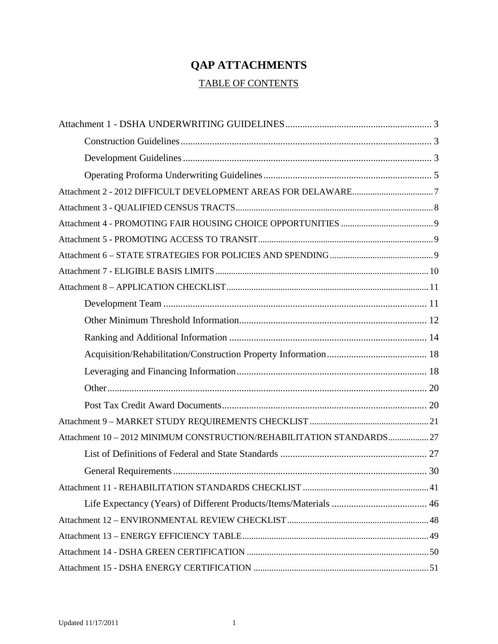# **QAP ATTACHMENTS**

# TABLE OF CONTENTS

| Attachment 10 - 2012 MINIMUM CONSTRUCTION/REHABILITATION STANDARDS27 |  |
|----------------------------------------------------------------------|--|
|                                                                      |  |
|                                                                      |  |
|                                                                      |  |
|                                                                      |  |
|                                                                      |  |
|                                                                      |  |
|                                                                      |  |
|                                                                      |  |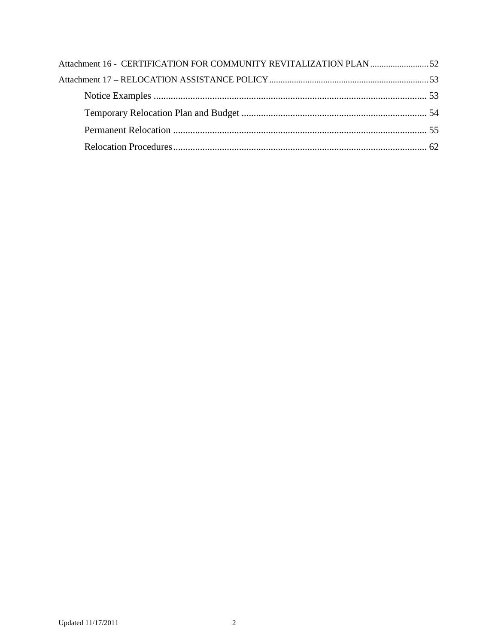| Attachment 16 - CERTIFICATION FOR COMMUNITY REVITALIZATION PLAN 52 |  |
|--------------------------------------------------------------------|--|
|                                                                    |  |
|                                                                    |  |
|                                                                    |  |
|                                                                    |  |
|                                                                    |  |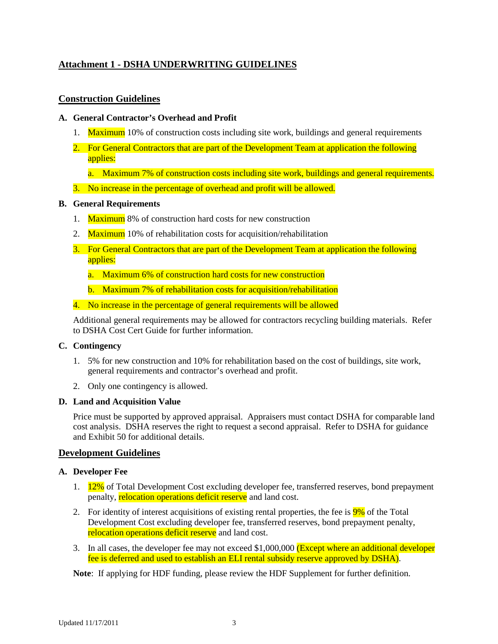# <span id="page-2-0"></span>**Attachment 1 - DSHA UNDERWRITING GUIDELINES**

# <span id="page-2-1"></span>**Construction Guidelines**

### **A. General Contractor's Overhead and Profit**

- 1. Maximum 10% of construction costs including site work, buildings and general requirements
- 2. For General Contractors that are part of the Development Team at application the following applies:
	- a. Maximum 7% of construction costs including site work, buildings and general requirements.
- 3. No increase in the percentage of overhead and profit will be allowed.

# **B. General Requirements**

- 1. Maximum 8% of construction hard costs for new construction
- 2. Maximum 10% of rehabilitation costs for acquisition/rehabilitation
- 3. For General Contractors that are part of the Development Team at application the following applies:
	- a. Maximum 6% of construction hard costs for new construction
	- b. Maximum 7% of rehabilitation costs for acquisition/rehabilitation
- 4. No increase in the percentage of general requirements will be allowed

Additional general requirements may be allowed for contractors recycling building materials. Refer to DSHA Cost Cert Guide for further information.

#### **C. Contingency**

- 1. 5% for new construction and 10% for rehabilitation based on the cost of buildings, site work, general requirements and contractor's overhead and profit.
- 2. Only one contingency is allowed.

#### **D. Land and Acquisition Value**

Price must be supported by approved appraisal. Appraisers must contact DSHA for comparable land cost analysis. DSHA reserves the right to request a second appraisal. Refer to DSHA for guidance and Exhibit 50 for additional details.

# <span id="page-2-2"></span>**Development Guidelines**

#### **A. Developer Fee**

- 1. 12% of Total Development Cost excluding developer fee, transferred reserves, bond prepayment penalty, relocation operations deficit reserve and land cost.
- 2. For identity of interest acquisitions of existing rental properties, the fee is  $9\%$  of the Total Development Cost excluding developer fee, transferred reserves, bond prepayment penalty, relocation operations deficit reserve and land cost.
- 3. In all cases, the developer fee may not exceed \$1,000,000 (Except where an additional developer fee is deferred and used to establish an ELI rental subsidy reserve approved by DSHA).

**Note**: If applying for HDF funding, please review the HDF Supplement for further definition.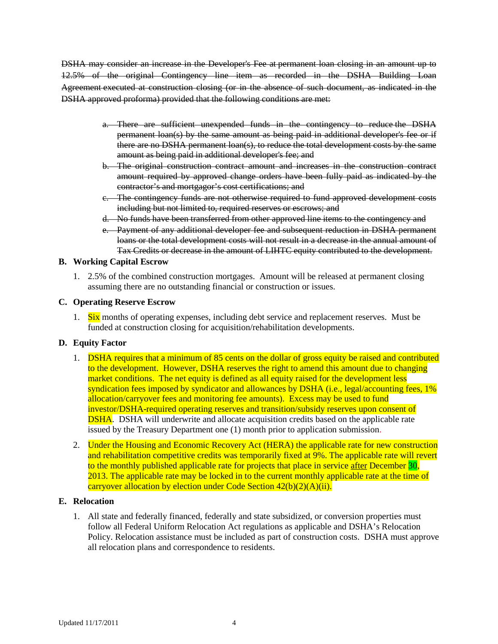DSHA may consider an increase in the Developer's Fee at permanent loan closing in an amount up to 12.5% of the original Contingency line item as recorded in the DSHA Building Loan Agreement executed at construction closing (or in the absence of such document, as indicated in the DSHA approved proforma) provided that the following conditions are met:

- a. There are sufficient unexpended funds in the contingency to reduce the DSHA permanent loan(s) by the same amount as being paid in additional developer's fee or if there are no DSHA permanent loan(s), to reduce the total development costs by the same amount as being paid in additional developer's fee; and
- b. The original construction contract amount and increases in the construction contract amount required by approved change orders have been fully paid as indicated by the contractor's and mortgagor's cost certifications; and
- c. The contingency funds are not otherwise required to fund approved development costs including but not limited to, required reserves or escrows; and
- d. No funds have been transferred from other approved line items to the contingency and
- e. Payment of any additional developer fee and subsequent reduction in DSHA permanent loans or the total development costs will not result in a decrease in the annual amount of Tax Credits or decrease in the amount of LIHTC equity contributed to the development.

#### **B. Working Capital Escrow**

1. 2.5% of the combined construction mortgages. Amount will be released at permanent closing assuming there are no outstanding financial or construction or issues.

#### **C. Operating Reserve Escrow**

1. Six months of operating expenses, including debt service and replacement reserves. Must be funded at construction closing for acquisition/rehabilitation developments.

#### **D. Equity Factor**

- 1. DSHA requires that a minimum of 85 cents on the dollar of gross equity be raised and contributed to the development. However, DSHA reserves the right to amend this amount due to changing market conditions. The net equity is defined as all equity raised for the development less syndication fees imposed by syndicator and allowances by DSHA (i.e., legal/accounting fees, 1% allocation/carryover fees and monitoring fee amounts). Excess may be used to fund investor/DSHA-required operating reserves and transition/subsidy reserves upon consent of **DSHA**. DSHA will underwrite and allocate acquisition credits based on the applicable rate issued by the Treasury Department one (1) month prior to application submission.
- 2. Under the Housing and Economic Recovery Act (HERA) the applicable rate for new construction and rehabilitation competitive credits was temporarily fixed at 9%. The applicable rate will revert to the monthly published applicable rate for projects that place in service after December 30, 2013. The applicable rate may be locked in to the current monthly applicable rate at the time of carryover allocation by election under Code Section 42(b)(2)(A)(ii).

#### **E. Relocation**

1. All state and federally financed, federally and state subsidized, or conversion properties must follow all Federal Uniform Relocation Act regulations as applicable and DSHA's Relocation Policy. Relocation assistance must be included as part of construction costs. DSHA must approve all relocation plans and correspondence to residents.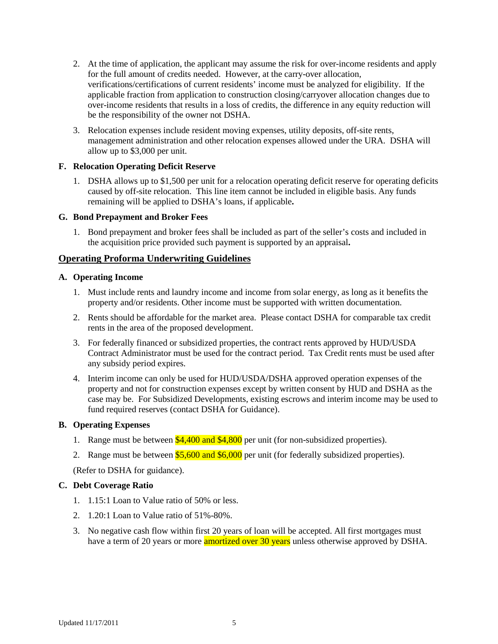- 2. At the time of application, the applicant may assume the risk for over-income residents and apply for the full amount of credits needed. However, at the carry-over allocation, verifications/certifications of current residents' income must be analyzed for eligibility. If the applicable fraction from application to construction closing/carryover allocation changes due to over-income residents that results in a loss of credits, the difference in any equity reduction will be the responsibility of the owner not DSHA.
- 3. Relocation expenses include resident moving expenses, utility deposits, off-site rents, management administration and other relocation expenses allowed under the URA. DSHA will allow up to \$3,000 per unit.

# **F. Relocation Operating Deficit Reserve**

1. DSHA allows up to \$1,500 per unit for a relocation operating deficit reserve for operating deficits caused by off-site relocation. This line item cannot be included in eligible basis. Any funds remaining will be applied to DSHA's loans, if applicable**.**

# **G. Bond Prepayment and Broker Fees**

1. Bond prepayment and broker fees shall be included as part of the seller's costs and included in the acquisition price provided such payment is supported by an appraisal**.**

# <span id="page-4-0"></span>**Operating Proforma Underwriting Guidelines**

#### **A. Operating Income**

- 1. Must include rents and laundry income and income from solar energy, as long as it benefits the property and/or residents. Other income must be supported with written documentation.
- 2. Rents should be affordable for the market area. Please contact DSHA for comparable tax credit rents in the area of the proposed development.
- 3. For federally financed or subsidized properties, the contract rents approved by HUD/USDA Contract Administrator must be used for the contract period. Tax Credit rents must be used after any subsidy period expires.
- 4. Interim income can only be used for HUD/USDA/DSHA approved operation expenses of the property and not for construction expenses except by written consent by HUD and DSHA as the case may be. For Subsidized Developments, existing escrows and interim income may be used to fund required reserves (contact DSHA for Guidance).

#### **B. Operating Expenses**

- 1. Range must be between \$4,400 and \$4,800 per unit (for non-subsidized properties).
- 2. Range must be between  $$5,600$  and  $$6,000$  per unit (for federally subsidized properties).

(Refer to DSHA for guidance).

# **C. Debt Coverage Ratio**

- 1. 1.15:1 Loan to Value ratio of 50% or less.
- 2. 1.20:1 Loan to Value ratio of 51%-80%.
- 3. No negative cash flow within first 20 years of loan will be accepted. All first mortgages must have a term of 20 years or more **amortized over 30 years** unless otherwise approved by DSHA.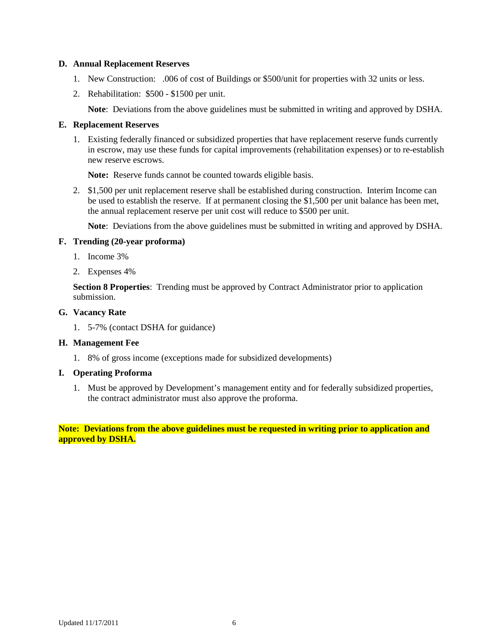#### **D. Annual Replacement Reserves**

- 1. New Construction: .006 of cost of Buildings or \$500/unit for properties with 32 units or less.
- 2. Rehabilitation: \$500 \$1500 per unit.

**Note**: Deviations from the above guidelines must be submitted in writing and approved by DSHA.

#### **E. Replacement Reserves**

1. Existing federally financed or subsidized properties that have replacement reserve funds currently in escrow, may use these funds for capital improvements (rehabilitation expenses) or to re-establish new reserve escrows.

**Note:** Reserve funds cannot be counted towards eligible basis.

2. \$1,500 per unit replacement reserve shall be established during construction. Interim Income can be used to establish the reserve. If at permanent closing the \$1,500 per unit balance has been met, the annual replacement reserve per unit cost will reduce to \$500 per unit.

**Note**: Deviations from the above guidelines must be submitted in writing and approved by DSHA.

#### **F. Trending (20-year proforma)**

- 1. Income 3%
- 2. Expenses 4%

**Section 8 Properties**: Trending must be approved by Contract Administrator prior to application submission.

#### **G. Vacancy Rate**

1. 5-7% (contact DSHA for guidance)

#### **H. Management Fee**

1. 8% of gross income (exceptions made for subsidized developments)

#### **I. Operating Proforma**

1. Must be approved by Development's management entity and for federally subsidized properties, the contract administrator must also approve the proforma.

**Note: Deviations from the above guidelines must be requested in writing prior to application and approved by DSHA.**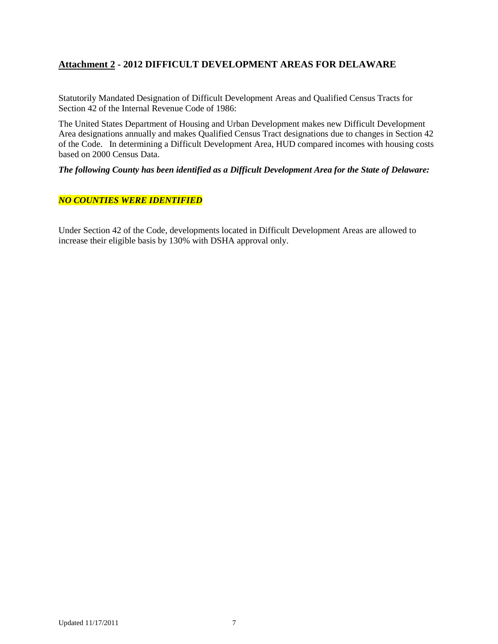# <span id="page-6-0"></span>**Attachment 2 - 2012 DIFFICULT DEVELOPMENT AREAS FOR DELAWARE**

Statutorily Mandated Designation of Difficult Development Areas and Qualified Census Tracts for Section 42 of the Internal Revenue Code of 1986:

The United States Department of Housing and Urban Development makes new Difficult Development Area designations annually and makes Qualified Census Tract designations due to changes in Section 42 of the Code. In determining a Difficult Development Area, HUD compared incomes with housing costs based on 2000 Census Data.

*The following County has been identified as a Difficult Development Area for the State of Delaware:*

# *NO COUNTIES WERE IDENTIFIED*

Under Section 42 of the Code, developments located in Difficult Development Areas are allowed to increase their eligible basis by 130% with DSHA approval only.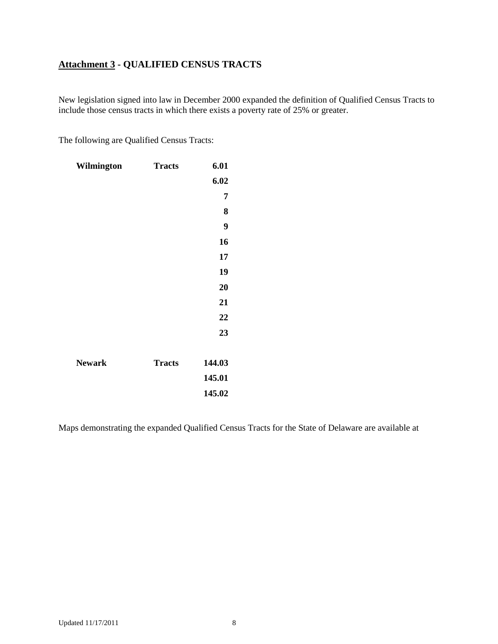# <span id="page-7-0"></span>**Attachment 3 - QUALIFIED CENSUS TRACTS**

New legislation signed into law in December 2000 expanded the definition of Qualified Census Tracts to include those census tracts in which there exists a poverty rate of 25% or greater.

The following are Qualified Census Tracts:

| Wilmington    | <b>Tracts</b> | 6.01   |
|---------------|---------------|--------|
|               |               | 6.02   |
|               |               | 7      |
|               |               | 8      |
|               |               | 9      |
|               |               | 16     |
|               |               | 17     |
|               |               | 19     |
|               |               | 20     |
|               |               | 21     |
|               |               | 22     |
|               |               | 23     |
|               |               |        |
| <b>Newark</b> | <b>Tracts</b> | 144.03 |
|               |               | 145.01 |
|               |               | 145.02 |

Maps demonstrating the expanded Qualified Census Tracts for the State of Delaware are available at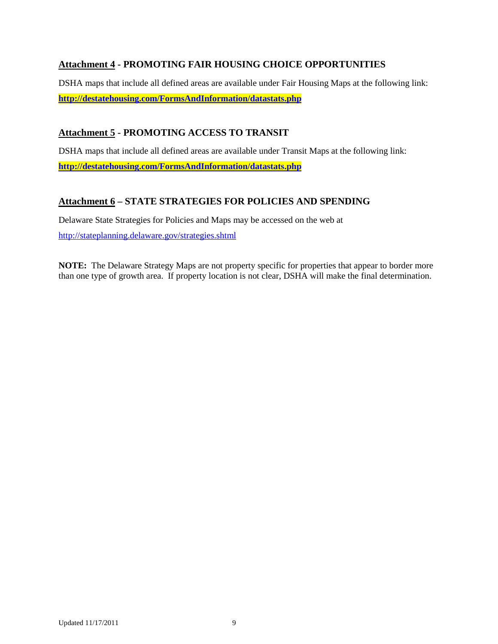# <span id="page-8-0"></span>**Attachment 4 - PROMOTING FAIR HOUSING CHOICE OPPORTUNITIES**

DSHA maps that include all defined areas are available under Fair Housing Maps at the following link: **<http://destatehousing.com/FormsAndInformation/datastats.php>**

# <span id="page-8-1"></span>**Attachment 5 - PROMOTING ACCESS TO TRANSIT**

DSHA maps that include all defined areas are available under Transit Maps at the following link: **<http://destatehousing.com/FormsAndInformation/datastats.php>**

# <span id="page-8-2"></span>**Attachment 6 – STATE STRATEGIES FOR POLICIES AND SPENDING**

Delaware State Strategies for Policies and Maps may be accessed on the web at <http://stateplanning.delaware.gov/strategies.shtml>

**NOTE:** The Delaware Strategy Maps are not property specific for properties that appear to border more than one type of growth area. If property location is not clear, DSHA will make the final determination.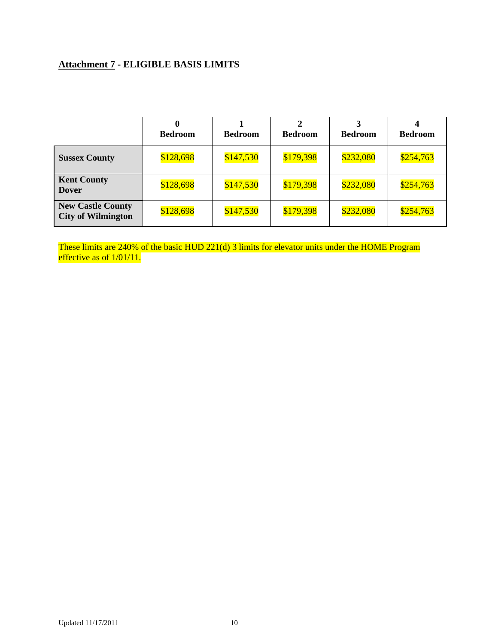# <span id="page-9-0"></span>**Attachment 7 - ELIGIBLE BASIS LIMITS**

|                                                       | <b>Bedroom</b> | <b>Bedroom</b> | <b>Bedroom</b> | <b>Bedroom</b> | <b>Bedroom</b> |
|-------------------------------------------------------|----------------|----------------|----------------|----------------|----------------|
| <b>Sussex County</b>                                  | \$128,698      | \$147,530      | \$179,398      | \$232,080      | \$254,763      |
| <b>Kent County</b><br><b>Dover</b>                    | \$128,698      | \$147,530      | \$179,398      | \$232,080      | \$254,763      |
| <b>New Castle County</b><br><b>City of Wilmington</b> | \$128,698      | \$147,530      | \$179,398      | \$232,080      | \$254,763      |

These limits are 240% of the basic HUD 221(d) 3 limits for elevator units under the HOME Program effective as of  $1/01/11$ .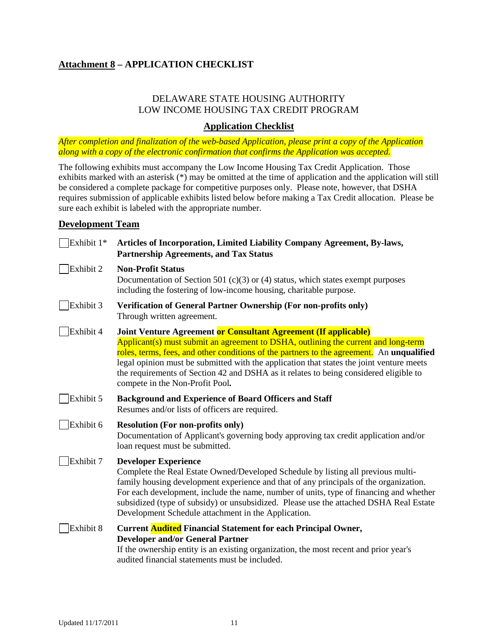# <span id="page-10-0"></span>**Attachment 8 – APPLICATION CHECKLIST**

# DELAWARE STATE HOUSING AUTHORITY LOW INCOME HOUSING TAX CREDIT PROGRAM

# **Application Checklist**

*After completion and finalization of the web-based Application, please print a copy of the Application along with a copy of the electronic confirmation that confirms the Application was accepted.* 

The following exhibits must accompany the Low Income Housing Tax Credit Application. Those exhibits marked with an asterisk (\*) may be omitted at the time of application and the application will still be considered a complete package for competitive purposes only. Please note, however, that DSHA requires submission of applicable exhibits listed below before making a Tax Credit allocation. Please be sure each exhibit is labeled with the appropriate number.

# <span id="page-10-1"></span>**Development Team**

| Exhibit 1* | Articles of Incorporation, Limited Liability Company Agreement, By-laws,<br><b>Partnership Agreements, and Tax Status</b>                                                                                                                                                                                                                                                                                                                                                  |  |  |
|------------|----------------------------------------------------------------------------------------------------------------------------------------------------------------------------------------------------------------------------------------------------------------------------------------------------------------------------------------------------------------------------------------------------------------------------------------------------------------------------|--|--|
| Exhibit 2  | <b>Non-Profit Status</b><br>Documentation of Section 501 (c)(3) or (4) status, which states exempt purposes<br>including the fostering of low-income housing, charitable purpose.                                                                                                                                                                                                                                                                                          |  |  |
| Exhibit 3  | Verification of General Partner Ownership (For non-profits only)<br>Through written agreement.                                                                                                                                                                                                                                                                                                                                                                             |  |  |
| Exhibit 4  | Joint Venture Agreement or Consultant Agreement (If applicable)<br>Applicant(s) must submit an agreement to DSHA, outlining the current and long-term<br>roles, terms, fees, and other conditions of the partners to the agreement. An unqualified<br>legal opinion must be submitted with the application that states the joint venture meets<br>the requirements of Section 42 and DSHA as it relates to being considered eligible to<br>compete in the Non-Profit Pool. |  |  |
| Exhibit 5  | <b>Background and Experience of Board Officers and Staff</b><br>Resumes and/or lists of officers are required.                                                                                                                                                                                                                                                                                                                                                             |  |  |
| Exhibit 6  | <b>Resolution (For non-profits only)</b><br>Documentation of Applicant's governing body approving tax credit application and/or<br>loan request must be submitted.                                                                                                                                                                                                                                                                                                         |  |  |
| Exhibit 7  | <b>Developer Experience</b><br>Complete the Real Estate Owned/Developed Schedule by listing all previous multi-<br>family housing development experience and that of any principals of the organization.<br>For each development, include the name, number of units, type of financing and whether<br>subsidized (type of subsidy) or unsubsidized. Please use the attached DSHA Real Estate<br>Development Schedule attachment in the Application.                        |  |  |
| Exhibit 8  | <b>Current Audited Financial Statement for each Principal Owner,</b><br><b>Developer and/or General Partner</b><br>If the ownership entity is an existing organization, the most recent and prior year's<br>audited financial statements must be included.                                                                                                                                                                                                                 |  |  |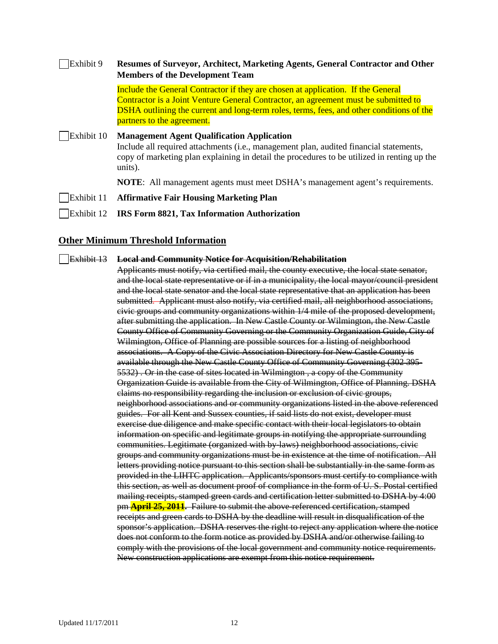| Exhibit 9  | Resumes of Surveyor, Architect, Marketing Agents, General Contractor and Other<br><b>Members of the Development Team</b>                                                                                                                                                                                 |  |  |
|------------|----------------------------------------------------------------------------------------------------------------------------------------------------------------------------------------------------------------------------------------------------------------------------------------------------------|--|--|
|            | Include the General Contractor if they are chosen at application. If the General<br>Contractor is a Joint Venture General Contractor, an agreement must be submitted to<br><b>DSHA</b> outlining the current and long-term roles, terms, fees, and other conditions of the<br>partners to the agreement. |  |  |
| Exhibit 10 | <b>Management Agent Qualification Application</b><br>Include all required attachments (i.e., management plan, audited financial statements,<br>copy of marketing plan explaining in detail the procedures to be utilized in renting up the<br>units).                                                    |  |  |
|            | <b>NOTE:</b> All management agents must meet DSHA's management agent's requirements.                                                                                                                                                                                                                     |  |  |
| Exhibit 11 | <b>Affirmative Fair Housing Marketing Plan</b>                                                                                                                                                                                                                                                           |  |  |
| Exhibit 12 | IRS Form 8821, Tax Information Authorization                                                                                                                                                                                                                                                             |  |  |

#### <span id="page-11-0"></span>**Other Minimum Threshold Information**

Exhibit 13 **Local and Community Notice for Acquisition/Rehabilitation**

Applicants must notify, via certified mail, the county executive, the local state senator, and the local state representative or if in a municipality, the local mayor/council president and the local state senator and the local state representative that an application has been submitted. Applicant must also notify, via certified mail, all neighborhood associations, civic groups and community organizations within 1/4 mile of the proposed development, after submitting the application. In New Castle County or Wilmington, the New Castle County Office of Community Governing or the Community Organization Guide, City of Wilmington, Office of Planning are possible sources for a listing of neighborhood associations. A Copy of the Civic Association Directory for New Castle County is available through the New Castle County Office of Community Governing (302 395- 5532) . Or in the case of sites located in Wilmington , a copy of the Community Organization Guide is available from the City of Wilmington, Office of Planning. DSHA claims no responsibility regarding the inclusion or exclusion of civic groups, neighborhood associations and or community organizations listed in the above referenced guides. For all Kent and Sussex counties, if said lists do not exist, developer must exercise due diligence and make specific contact with their local legislators to obtain information on specific and legitimate groups in notifying the appropriate surrounding communities. Legitimate (organized with by-laws) neighborhood associations, civic groups and community organizations must be in existence at the time of notification. All letters providing notice pursuant to this section shall be substantially in the same form as provided in the LIHTC application. Applicants/sponsors must certify to compliance with this section, as well as document proof of compliance in the form of U. S. Postal certified mailing receipts, stamped green cards and certification letter submitted to DSHA by 4:00 pm **April 25, 2011.** Failure to submit the above-referenced certification, stamped receipts and green cards to DSHA by the deadline will result in disqualification of the sponsor's application. DSHA reserves the right to reject any application where the notice does not conform to the form notice as provided by DSHA and/or otherwise failing to comply with the provisions of the local government and community notice requirements. New construction applications are exempt from this notice requirement.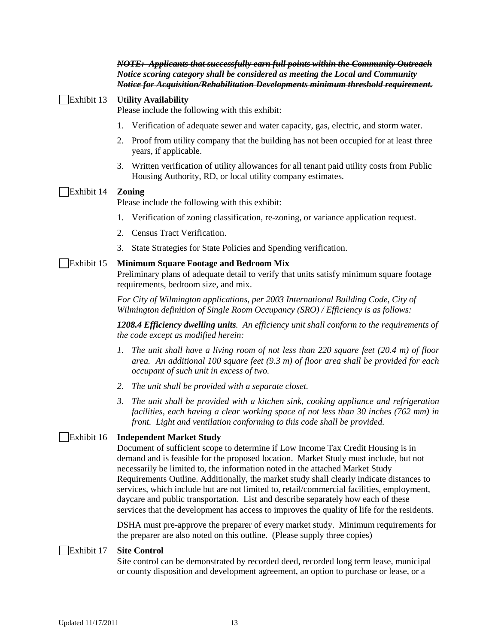|            | NOTE: Applicants that successfully earn full points within the Community Outreach<br>Notice scoring category shall be considered as meeting the Local and Community<br>Notice for Acquisition/Rehabilitation Developments minimum threshold requirement.                                                                                                                                                                                                                                                                                                                                                                                                                  |  |  |  |
|------------|---------------------------------------------------------------------------------------------------------------------------------------------------------------------------------------------------------------------------------------------------------------------------------------------------------------------------------------------------------------------------------------------------------------------------------------------------------------------------------------------------------------------------------------------------------------------------------------------------------------------------------------------------------------------------|--|--|--|
| Exhibit 13 | <b>Utility Availability</b><br>Please include the following with this exhibit:                                                                                                                                                                                                                                                                                                                                                                                                                                                                                                                                                                                            |  |  |  |
|            | Verification of adequate sewer and water capacity, gas, electric, and storm water.<br>1.                                                                                                                                                                                                                                                                                                                                                                                                                                                                                                                                                                                  |  |  |  |
|            | Proof from utility company that the building has not been occupied for at least three<br>2.<br>years, if applicable.                                                                                                                                                                                                                                                                                                                                                                                                                                                                                                                                                      |  |  |  |
|            | Written verification of utility allowances for all tenant paid utility costs from Public<br>3.<br>Housing Authority, RD, or local utility company estimates.                                                                                                                                                                                                                                                                                                                                                                                                                                                                                                              |  |  |  |
| Exhibit 14 | <b>Zoning</b>                                                                                                                                                                                                                                                                                                                                                                                                                                                                                                                                                                                                                                                             |  |  |  |
|            | Please include the following with this exhibit:                                                                                                                                                                                                                                                                                                                                                                                                                                                                                                                                                                                                                           |  |  |  |
|            | Verification of zoning classification, re-zoning, or variance application request.<br>1.                                                                                                                                                                                                                                                                                                                                                                                                                                                                                                                                                                                  |  |  |  |
|            | Census Tract Verification.<br>2.                                                                                                                                                                                                                                                                                                                                                                                                                                                                                                                                                                                                                                          |  |  |  |
|            | 3.<br>State Strategies for State Policies and Spending verification.                                                                                                                                                                                                                                                                                                                                                                                                                                                                                                                                                                                                      |  |  |  |
| Exhibit 15 | <b>Minimum Square Footage and Bedroom Mix</b><br>Preliminary plans of adequate detail to verify that units satisfy minimum square footage<br>requirements, bedroom size, and mix.                                                                                                                                                                                                                                                                                                                                                                                                                                                                                         |  |  |  |
|            | For City of Wilmington applications, per 2003 International Building Code, City of<br>Wilmington definition of Single Room Occupancy (SRO) / Efficiency is as follows:                                                                                                                                                                                                                                                                                                                                                                                                                                                                                                    |  |  |  |
|            | 1208.4 Efficiency dwelling units. An efficiency unit shall conform to the requirements of<br>the code except as modified herein:                                                                                                                                                                                                                                                                                                                                                                                                                                                                                                                                          |  |  |  |
|            | The unit shall have a living room of not less than 220 square feet $(20.4 \text{ m})$ of floor<br>1.<br>area. An additional 100 square feet $(9.3 \text{ m})$ of floor area shall be provided for each<br>occupant of such unit in excess of two.                                                                                                                                                                                                                                                                                                                                                                                                                         |  |  |  |
|            | The unit shall be provided with a separate closet.<br>2.                                                                                                                                                                                                                                                                                                                                                                                                                                                                                                                                                                                                                  |  |  |  |
|            | $\mathfrak{Z}$ .<br>The unit shall be provided with a kitchen sink, cooking appliance and refrigeration<br>facilities, each having a clear working space of not less than 30 inches (762 mm) in<br>front. Light and ventilation conforming to this code shall be provided.                                                                                                                                                                                                                                                                                                                                                                                                |  |  |  |
| Exhibit 16 | <b>Independent Market Study</b><br>Document of sufficient scope to determine if Low Income Tax Credit Housing is in<br>demand and is feasible for the proposed location. Market Study must include, but not<br>necessarily be limited to, the information noted in the attached Market Study<br>Requirements Outline. Additionally, the market study shall clearly indicate distances to<br>services, which include but are not limited to, retail/commercial facilities, employment,<br>daycare and public transportation. List and describe separately how each of these<br>services that the development has access to improves the quality of life for the residents. |  |  |  |

DSHA must pre-approve the preparer of every market study. Minimum requirements for the preparer are also noted on this outline. (Please supply three copies)

# Exhibit 17 **Site Control**

Site control can be demonstrated by recorded deed, recorded long term lease, municipal or county disposition and development agreement, an option to purchase or lease, or a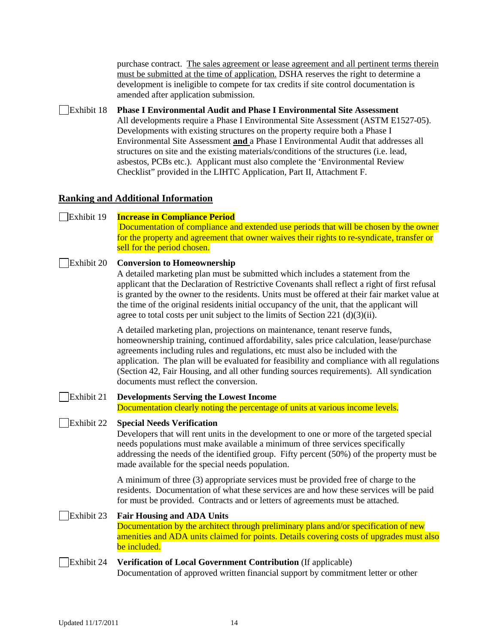purchase contract. The sales agreement or lease agreement and all pertinent terms therein must be submitted at the time of application. DSHA reserves the right to determine a development is ineligible to compete for tax credits if site control documentation is amended after application submission.

Exhibit 18 **Phase I Environmental Audit and Phase I Environmental Site Assessment** All developments require a Phase I Environmental Site Assessment (ASTM E1527-05). Developments with existing structures on the property require both a Phase I Environmental Site Assessment **and** a Phase I Environmental Audit that addresses all structures on site and the existing materials/conditions of the structures (i.e. lead, asbestos, PCBs etc.). Applicant must also complete the 'Environmental Review Checklist" provided in the LIHTC Application, Part II, Attachment F.

# <span id="page-13-0"></span>**Ranking and Additional Information**

#### Exhibit 19 **Increase in Compliance Period** Documentation of compliance and extended use periods that will be chosen by the owner for the property and agreement that owner waives their rights to re-syndicate, transfer or sell for the period chosen.

#### Exhibit 20 **Conversion to Homeownership**

A detailed marketing plan must be submitted which includes a statement from the applicant that the Declaration of Restrictive Covenants shall reflect a right of first refusal is granted by the owner to the residents. Units must be offered at their fair market value at the time of the original residents initial occupancy of the unit, that the applicant will agree to total costs per unit subject to the limits of Section 221 (d)(3)(ii).

A detailed marketing plan, projections on maintenance, tenant reserve funds, homeownership training, continued affordability, sales price calculation, lease/purchase agreements including rules and regulations, etc must also be included with the application. The plan will be evaluated for feasibility and compliance with all regulations (Section 42, Fair Housing, and all other funding sources requirements). All syndication documents must reflect the conversion.

# Exhibit 21 **Developments Serving the Lowest Income** Documentation clearly noting the percentage of units at various income levels.

#### Exhibit 22 **Special Needs Verification**

Developers that will rent units in the development to one or more of the targeted special needs populations must make available a minimum of three services specifically addressing the needs of the identified group. Fifty percent (50%) of the property must be made available for the special needs population.

A minimum of three (3) appropriate services must be provided free of charge to the residents. Documentation of what these services are and how these services will be paid for must be provided. Contracts and or letters of agreements must be attached.

#### Exhibit 23 **Fair Housing and ADA Units**

Documentation by the architect through preliminary plans and/or specification of new amenities and ADA units claimed for points. Details covering costs of upgrades must also be included.

#### Exhibit 24 **Verification of Local Government Contribution** (If applicable) Documentation of approved written financial support by commitment letter or other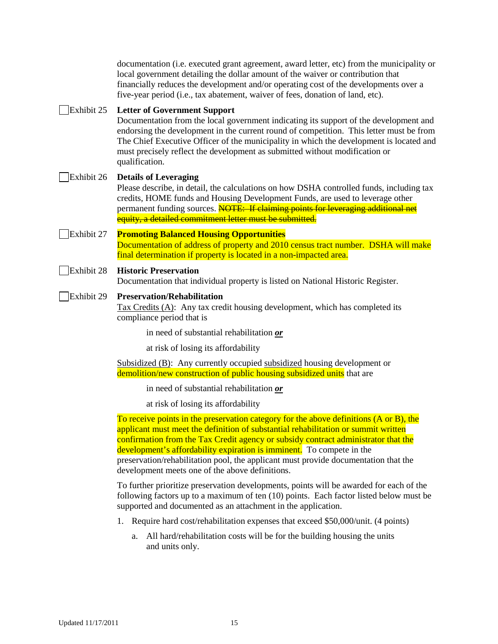documentation (i.e. executed grant agreement, award letter, etc) from the municipality or local government detailing the dollar amount of the waiver or contribution that financially reduces the development and/or operating cost of the developments over a five-year period (i.e., tax abatement, waiver of fees, donation of land, etc).

### Exhibit 25 **Letter of Government Support**

Documentation from the local government indicating its support of the development and endorsing the development in the current round of competition. This letter must be from The Chief Executive Officer of the municipality in which the development is located and must precisely reflect the development as submitted without modification or qualification.

# Exhibit 26 **Details of Leveraging**

Please describe, in detail, the calculations on how DSHA controlled funds, including tax credits, HOME funds and Housing Development Funds, are used to leverage other permanent funding sources. **NOTE: If claiming points for leveraging additional net** equity, a detailed commitment letter must be submitted.

# Exhibit 27 **Promoting Balanced Housing Opportunities** Documentation of address of property and 2010 census tract number. DSHA will make final determination if property is located in a non-impacted area.

# Exhibit 28 **Historic Preservation**

Documentation that individual property is listed on National Historic Register.

Exhibit 29 **Preservation/Rehabilitation** 

Tax Credits (A): Any tax credit housing development, which has completed its compliance period that is

in need of substantial rehabilitation *or*

at risk of losing its affordability

Subsidized (B): Any currently occupied subsidized housing development or demolition/new construction of public housing subsidized units that are

in need of substantial rehabilitation *or*

at risk of losing its affordability

To receive points in the preservation category for the above definitions (A or B), the applicant must meet the definition of substantial rehabilitation or summit written confirmation from the Tax Credit agency or subsidy contract administrator that the development's affordability expiration is imminent. To compete in the preservation/rehabilitation pool, the applicant must provide documentation that the development meets one of the above definitions.

To further prioritize preservation developments, points will be awarded for each of the following factors up to a maximum of ten (10) points. Each factor listed below must be supported and documented as an attachment in the application.

- 1. Require hard cost/rehabilitation expenses that exceed \$50,000/unit. (4 points)
	- a. All hard/rehabilitation costs will be for the building housing the units and units only.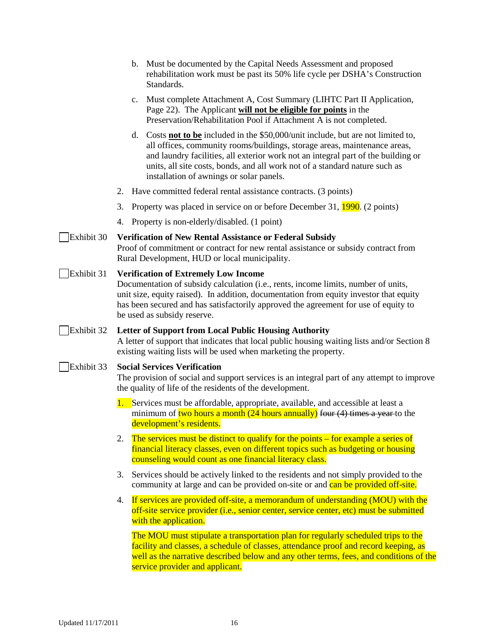- b. Must be documented by the Capital Needs Assessment and proposed rehabilitation work must be past its 50% life cycle per DSHA's Construction Standards.
- c. Must complete Attachment A, Cost Summary (LIHTC Part II Application, Page 22). The Applicant **will not be eligible for points** in the Preservation/Rehabilitation Pool if Attachment A is not completed.
- d. Costs **not to be** included in the \$50,000/unit include, but are not limited to, all offices, community rooms/buildings, storage areas, maintenance areas, and laundry facilities, all exterior work not an integral part of the building or units, all site costs, bonds, and all work not of a standard nature such as installation of awnings or solar panels.
- 2. Have committed federal rental assistance contracts. (3 points)
- 3. Property was placed in service on or before December 31, 1990. (2 points)
- 4. Property is non-elderly/disabled. (1 point)

#### Exhibit 30 **Verification of New Rental Assistance or Federal Subsidy**

Proof of commitment or contract for new rental assistance or subsidy contract from Rural Development, HUD or local municipality.

#### Exhibit 31 **Verification of Extremely Low Income**

Documentation of subsidy calculation (i.e., rents, income limits, number of units, unit size, equity raised). In addition, documentation from equity investor that equity has been secured and has satisfactorily approved the agreement for use of equity to be used as subsidy reserve.

#### Exhibit 32 **Letter of Support from Local Public Housing Authority**

A letter of support that indicates that local public housing waiting lists and/or Section 8 existing waiting lists will be used when marketing the property.

#### Exhibit 33 **Social Services Verification**

The provision of social and support services is an integral part of any attempt to improve the quality of life of the residents of the development.

- 1. Services must be affordable, appropriate, available, and accessible at least a minimum of two hours a month (24 hours annually) four  $(4)$  times a year-to the development's residents.
- 2. The services must be distinct to qualify for the points for example a series of financial literacy classes, even on different topics such as budgeting or housing counseling would count as one financial literacy class.
- 3. Services should be actively linked to the residents and not simply provided to the community at large and can be provided on-site or and can be provided off-site.
- 4. If services are provided off-site, a memorandum of understanding (MOU) with the off-site service provider (i.e., senior center, service center, etc) must be submitted with the application.

The MOU must stipulate a transportation plan for regularly scheduled trips to the facility and classes, a schedule of classes, attendance proof and record keeping, as well as the narrative described below and any other terms, fees, and conditions of the service provider and applicant.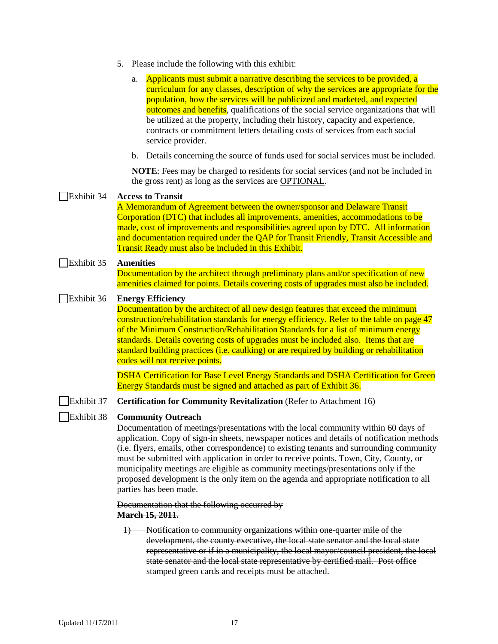- 5. Please include the following with this exhibit:
	- a. Applicants must submit a narrative describing the services to be provided, a curriculum for any classes, description of why the services are appropriate for the population, how the services will be publicized and marketed, and expected outcomes and benefits, qualifications of the social service organizations that will be utilized at the property, including their history, capacity and experience, contracts or commitment letters detailing costs of services from each social service provider.
	- b. Details concerning the source of funds used for social services must be included.

**NOTE**: Fees may be charged to residents for social services (and not be included in the gross rent) as long as the services are OPTIONAL.

# Exhibit 34 **Access to Transit**

A Memorandum of Agreement between the owner/sponsor and Delaware Transit Corporation (DTC) that includes all improvements, amenities, accommodations to be made, cost of improvements and responsibilities agreed upon by DTC. All information and documentation required under the QAP for Transit Friendly, Transit Accessible and Transit Ready must also be included in this Exhibit.

#### Exhibit 35 **Amenities**

Documentation by the architect through preliminary plans and/or specification of new amenities claimed for points. Details covering costs of upgrades must also be included.

#### Exhibit 36 **Energy Efficiency**

Documentation by the architect of all new design features that exceed the minimum construction/rehabilitation standards for energy efficiency. Refer to the table on page 47 of the Minimum Construction/Rehabilitation Standards for a list of minimum energy standards. Details covering costs of upgrades must be included also. Items that are standard building practices (i.e. caulking) or are required by building or rehabilitation codes will not receive points.

DSHA Certification for Base Level Energy Standards and DSHA Certification for Green Energy Standards must be signed and attached as part of Exhibit 36.

Exhibit 37 **Certification for Community Revitalization** (Refer to Attachment 16)

#### Exhibit 38 **Community Outreach**

Documentation of meetings/presentations with the local community within 60 days of application. Copy of sign-in sheets, newspaper notices and details of notification methods (i.e. flyers, emails, other correspondence) to existing tenants and surrounding community must be submitted with application in order to receive points. Town, City, County, or municipality meetings are eligible as community meetings/presentations only if the proposed development is the only item on the agenda and appropriate notification to all parties has been made.

#### Documentation that the following occurred by **March 15, 2011.**

1) Notification to community organizations within one-quarter mile of the development, the county executive, the local state senator and the local state representative or if in a municipality, the local mayor/council president, the local state senator and the local state representative by certified mail. Post office stamped green cards and receipts must be attached.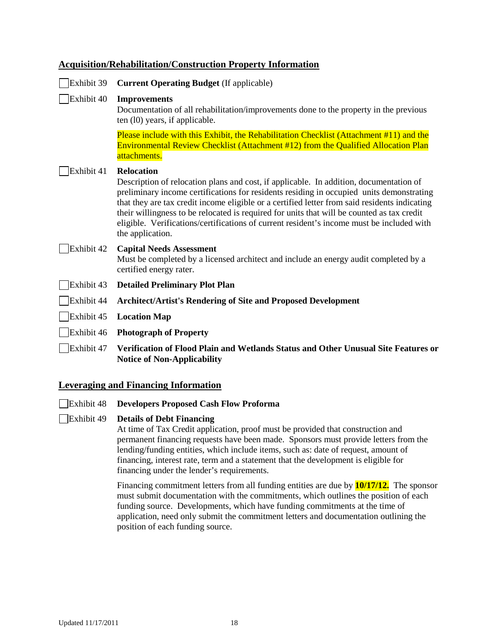# <span id="page-17-0"></span>**Acquisition/Rehabilitation/Construction Property Information**

Exhibit 39 **Current Operating Budget** (If applicable)

# Exhibit 40 **Improvements**

Documentation of all rehabilitation/improvements done to the property in the previous ten (l0) years, if applicable.

Please include with this Exhibit, the Rehabilitation Checklist (Attachment #11) and the Environmental Review Checklist (Attachment #12) from the Qualified Allocation Plan attachments.

#### Exhibit 41 **Relocation**

Description of relocation plans and cost, if applicable. In addition, documentation of preliminary income certifications for residents residing in occupied units demonstrating that they are tax credit income eligible or a certified letter from said residents indicating their willingness to be relocated is required for units that will be counted as tax credit eligible. Verifications/certifications of current resident's income must be included with the application.

# Exhibit 42 **Capital Needs Assessment**

Must be completed by a licensed architect and include an energy audit completed by a certified energy rater.

- Exhibit 43 **Detailed Preliminary Plot Plan**
- Exhibit 44 **Architect/Artist's Rendering of Site and Proposed Development**
- Exhibit 45 **Location Map**
- Exhibit 46 **Photograph of Property**

Exhibit 47 **Verification of Flood Plain and Wetlands Status and Other Unusual Site Features or Notice of Non-Applicability**

#### <span id="page-17-1"></span>**Leveraging and Financing Information**

- Exhibit 48 **Developers Proposed Cash Flow Proforma**
- Exhibit 49 **Details of Debt Financing**

At time of Tax Credit application, proof must be provided that construction and permanent financing requests have been made. Sponsors must provide letters from the lending/funding entities, which include items, such as: date of request, amount of financing, interest rate, term and a statement that the development is eligible for financing under the lender's requirements.

Financing commitment letters from all funding entities are due by **10/17/12.** The sponsor must submit documentation with the commitments, which outlines the position of each funding source. Developments, which have funding commitments at the time of application, need only submit the commitment letters and documentation outlining the position of each funding source.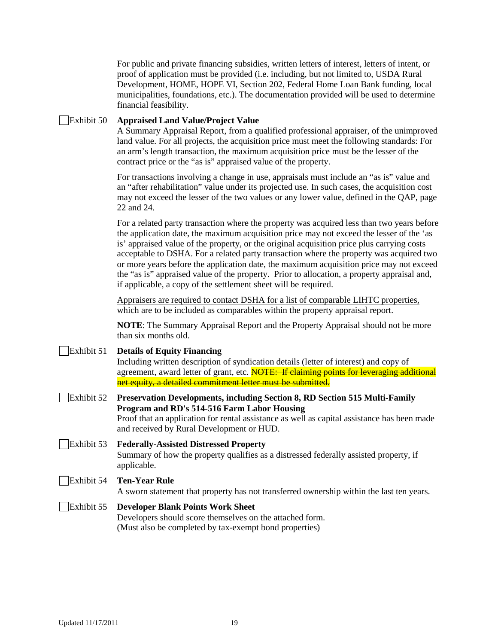For public and private financing subsidies, written letters of interest, letters of intent, or proof of application must be provided (i.e. including, but not limited to, USDA Rural Development, HOME, HOPE VI, Section 202, Federal Home Loan Bank funding, local municipalities, foundations, etc.). The documentation provided will be used to determine financial feasibility.

#### Exhibit 50 **Appraised Land Value/Project Value**

A Summary Appraisal Report, from a qualified professional appraiser, of the unimproved land value. For all projects, the acquisition price must meet the following standards: For an arm's length transaction, the maximum acquisition price must be the lesser of the contract price or the "as is" appraised value of the property.

For transactions involving a change in use, appraisals must include an "as is" value and an "after rehabilitation" value under its projected use. In such cases, the acquisition cost may not exceed the lesser of the two values or any lower value, defined in the QAP, page 22 and 24.

For a related party transaction where the property was acquired less than two years before the application date, the maximum acquisition price may not exceed the lesser of the 'as is' appraised value of the property, or the original acquisition price plus carrying costs acceptable to DSHA. For a related party transaction where the property was acquired two or more years before the application date, the maximum acquisition price may not exceed the "as is" appraised value of the property. Prior to allocation, a property appraisal and, if applicable, a copy of the settlement sheet will be required.

Appraisers are required to contact DSHA for a list of comparable LIHTC properties, which are to be included as comparables within the property appraisal report.

**NOTE**: The Summary Appraisal Report and the Property Appraisal should not be more than six months old.

| Exhibit 51 | <b>Details of Equity Financing</b><br>Including written description of syndication details (letter of interest) and copy of<br>agreement, award letter of grant, etc. <b>NOTE: If claiming points for leveraging additional</b><br>net equity, a detailed commitment letter must be submitted. |
|------------|------------------------------------------------------------------------------------------------------------------------------------------------------------------------------------------------------------------------------------------------------------------------------------------------|
| Exhibit 52 | <b>Preservation Developments, including Section 8, RD Section 515 Multi-Family</b><br>Program and RD's 514-516 Farm Labor Housing<br>Proof that an application for rental assistance as well as capital assistance has been made<br>and received by Rural Development or HUD.                  |
| Exhibit 53 | <b>Federally-Assisted Distressed Property</b><br>Summary of how the property qualifies as a distressed federally assisted property, if<br>applicable.                                                                                                                                          |

#### Exhibit 54 **Ten-Year Rule**

A sworn statement that property has not transferred ownership within the last ten years.

### Exhibit 55 **Developer Blank Points Work Sheet** Developers should score themselves on the attached form. (Must also be completed by tax-exempt bond properties)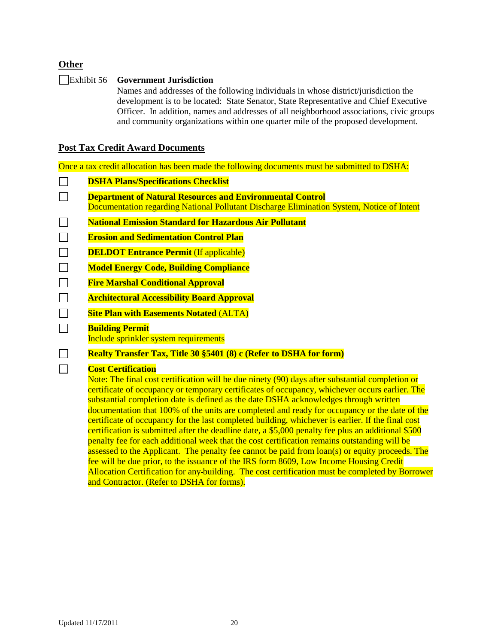# <span id="page-19-0"></span>**Other**

#### Exhibit 56 **Government Jurisdiction**

Names and addresses of the following individuals in whose district/jurisdiction the development is to be located: State Senator, State Representative and Chief Executive Officer. In addition, names and addresses of all neighborhood associations, civic groups and community organizations within one quarter mile of the proposed development.

# <span id="page-19-1"></span>**Post Tax Credit Award Documents**

Once a tax credit allocation has been made the following documents must be submitted to DSHA:

 $\Box$ **DSHA Plans/Specifications Checklist**  $\Box$ **Department of Natural Resources and Environmental Control** Documentation regarding National Pollutant Discharge Elimination System, Notice of Intent  $\Box$ **National Emission Standard for Hazardous Air Pollutant**  $\Box$ **Erosion and Sedimentation Control Plan**  $\Box$ **DELDOT Entrance Permit (If applicable)**  $\Box$ **Model Energy Code, Building Compliance**  $\Box$ **Fire Marshal Conditional Approval**  $\Box$ **Architectural Accessibility Board Approval**  $\Box$ **Site Plan with Easements Notated** (ALTA)  $\Box$ **Building Permit** Include sprinkler system requirements  $\Box$ **Realty Transfer Tax, Title 30 §5401 (8) c (Refer to DSHA for form)**

# **Cost Certification**

 $\Box$ 

Note: The final cost certification will be due ninety (90) days after substantial completion or certificate of occupancy or temporary certificates of occupancy, whichever occurs earlier. The substantial completion date is defined as the date DSHA acknowledges through written documentation that 100% of the units are completed and ready for occupancy or the date of the certificate of occupancy for the last completed building, whichever is earlier. If the final cost certification is submitted after the deadline date, a \$5,000 penalty fee plus an additional \$500 penalty fee for each additional week that the cost certification remains outstanding will be assessed to the Applicant. The penalty fee cannot be paid from  $\text{loan}(s)$  or equity proceeds. The fee will be due prior, to the issuance of the IRS form 8609, Low Income Housing Credit Allocation Certification for any building. The cost certification must be completed by Borrower and Contractor. (Refer to DSHA for forms).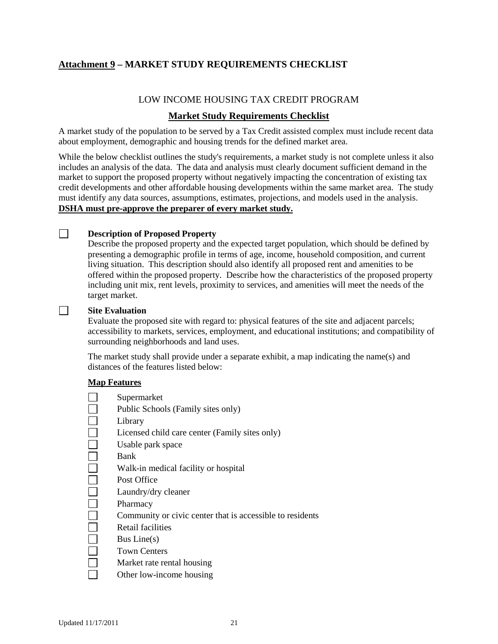# <span id="page-20-0"></span>**Attachment 9 – MARKET STUDY REQUIREMENTS CHECKLIST**

# LOW INCOME HOUSING TAX CREDIT PROGRAM

# **Market Study Requirements Checklist**

A market study of the population to be served by a Tax Credit assisted complex must include recent data about employment, demographic and housing trends for the defined market area.

While the below checklist outlines the study's requirements, a market study is not complete unless it also includes an analysis of the data. The data and analysis must clearly document sufficient demand in the market to support the proposed property without negatively impacting the concentration of existing tax credit developments and other affordable housing developments within the same market area. The study must identify any data sources, assumptions, estimates, projections, and models used in the analysis. **DSHA must pre-approve the preparer of every market study.**

#### **Description of Proposed Property**

Describe the proposed property and the expected target population, which should be defined by presenting a demographic profile in terms of age, income, household composition, and current living situation. This description should also identify all proposed rent and amenities to be offered within the proposed property. Describe how the characteristics of the proposed property including unit mix, rent levels, proximity to services, and amenities will meet the needs of the target market.

#### **Site Evaluation**

 $\Box$ 

 $\Box$ 

Evaluate the proposed site with regard to: physical features of the site and adjacent parcels; accessibility to markets, services, employment, and educational institutions; and compatibility of surrounding neighborhoods and land uses.

The market study shall provide under a separate exhibit, a map indicating the name(s) and distances of the features listed below:

#### **Map Features**

 $\Box$ 

 $\Box$  $\Box$  $\mathcal{L}_{\mathcal{A}}$ П  $\Box$  $\mathcal{L}_{\mathcal{A}}$ 

 $\Box$  $\Box$  $\Box$ 

- Supermarket
- Public Schools (Family sites only)
- П Library
	- Licensed child care center (Family sites only)
	- Usable park space

Bank

- Walk-in medical facility or hospital
- Post Office
- Laundry/dry cleaner
- $\Box$ Pharmacy
	- Community or civic center that is accessible to residents
	- Retail facilities
	- Bus Line(s)
- $\Box$ Town Centers
	- Market rate rental housing
	- Other low-income housing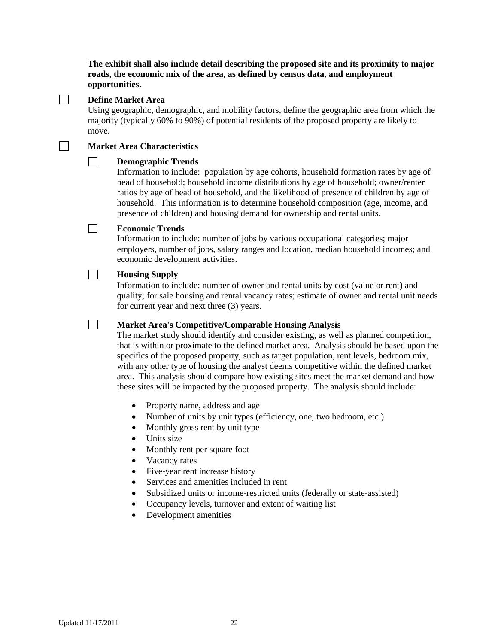**The exhibit shall also include detail describing the proposed site and its proximity to major roads, the economic mix of the area, as defined by census data, and employment opportunities.**

 $\Box$ 

 $\Box$ 

 $\Box$ 

 $\Box$ 

 $\Box$ 

#### **Define Market Area**

Using geographic, demographic, and mobility factors, define the geographic area from which the majority (typically 60% to 90%) of potential residents of the proposed property are likely to move.

#### **Market Area Characteristics**

#### $\Box$ **Demographic Trends**

Information to include: population by age cohorts, household formation rates by age of head of household; household income distributions by age of household; owner/renter ratios by age of head of household, and the likelihood of presence of children by age of household. This information is to determine household composition (age, income, and presence of children) and housing demand for ownership and rental units.

#### **Economic Trends**

Information to include: number of jobs by various occupational categories; major employers, number of jobs, salary ranges and location, median household incomes; and economic development activities.

#### **Housing Supply**

Information to include: number of owner and rental units by cost (value or rent) and quality; for sale housing and rental vacancy rates; estimate of owner and rental unit needs for current year and next three (3) years.

**Market Area's Competitive/Comparable Housing Analysis**

The market study should identify and consider existing, as well as planned competition, that is within or proximate to the defined market area. Analysis should be based upon the specifics of the proposed property, such as target population, rent levels, bedroom mix, with any other type of housing the analyst deems competitive within the defined market area. This analysis should compare how existing sites meet the market demand and how these sites will be impacted by the proposed property. The analysis should include:

- Property name, address and age
- Number of units by unit types (efficiency, one, two bedroom, etc.)
- Monthly gross rent by unit type
- Units size
- Monthly rent per square foot
- Vacancy rates
- Five-year rent increase history
- Services and amenities included in rent
- Subsidized units or income-restricted units (federally or state-assisted)
- Occupancy levels, turnover and extent of waiting list
- Development amenities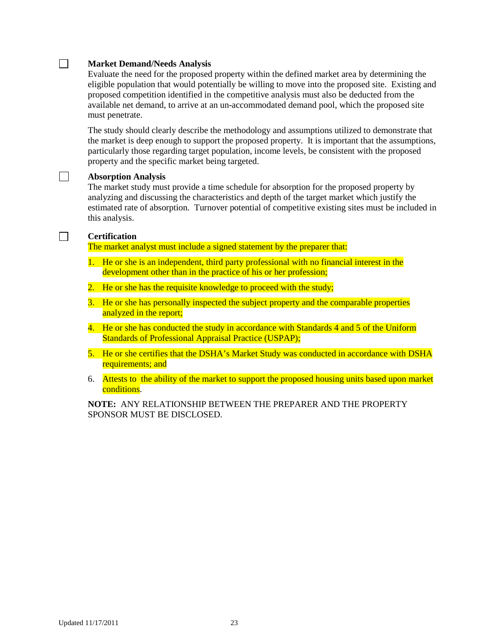#### $\Box$ **Market Demand/Needs Analysis**

Evaluate the need for the proposed property within the defined market area by determining the eligible population that would potentially be willing to move into the proposed site. Existing and proposed competition identified in the competitive analysis must also be deducted from the available net demand, to arrive at an un-accommodated demand pool, which the proposed site must penetrate.

The study should clearly describe the methodology and assumptions utilized to demonstrate that the market is deep enough to support the proposed property. It is important that the assumptions, particularly those regarding target population, income levels, be consistent with the proposed property and the specific market being targeted.

#### **Absorption Analysis**

The market study must provide a time schedule for absorption for the proposed property by analyzing and discussing the characteristics and depth of the target market which justify the estimated rate of absorption. Turnover potential of competitive existing sites must be included in this analysis.

#### $\Box$ **Certification**

 $\Box$ 

The market analyst must include a signed statement by the preparer that:

- 1. He or she is an independent, third party professional with no financial interest in the development other than in the practice of his or her profession;
- 2. He or she has the requisite knowledge to proceed with the study;
- 3. He or she has personally inspected the subject property and the comparable properties analyzed in the report;
- 4. He or she has conducted the study in accordance with Standards 4 and 5 of the Uniform Standards of Professional Appraisal Practice (USPAP);
- 5. He or she certifies that the DSHA's Market Study was conducted in accordance with DSHA requirements; and
- 6. Attests to the ability of the market to support the proposed housing units based upon market conditions.

**NOTE:** ANY RELATIONSHIP BETWEEN THE PREPARER AND THE PROPERTY SPONSOR MUST BE DISCLOSED.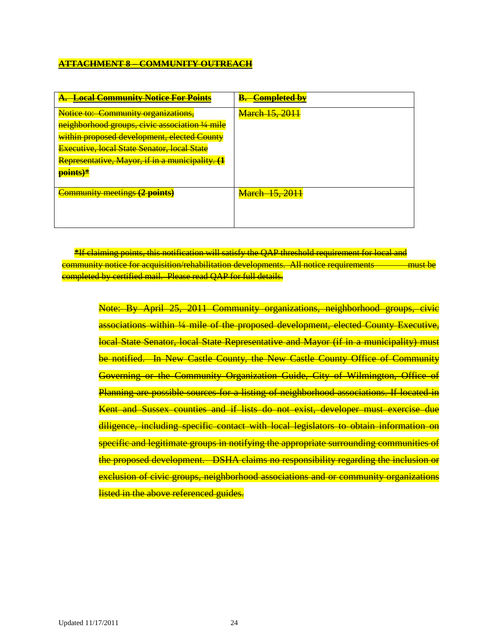# **ATTACHMENT 8 – COMMUNITY OUTREACH**

| <del>. Local Community Notice For Points</del>     | Completed by          |
|----------------------------------------------------|-----------------------|
| Notice to: Community organizations,                | <b>March 15, 2011</b> |
| neighborhood groups, civic association 1/4 mile    |                       |
| within proposed development, elected County        |                       |
| <b>Executive, local State Senator, local State</b> |                       |
| Representative, Mayor, if in a municipality. (1    |                       |
| <mark>points)*</mark>                              |                       |
| <b>Community meetings (2 points)</b>               | <b>March 15, 2011</b> |
|                                                    |                       |
|                                                    |                       |
|                                                    |                       |

**\***If claiming points, this notification will satisfy the QAP threshold requirement for local and community notice for acquisition/rehabilitation developments. All notice requirements must be completed by certified mail. Please read QAP for full details.

Note: By April 25, 2011 Community organizations, neighborhood groups, civic associations within ¼ mile of the proposed development, elected County Executive, local State Senator, local State Representative and Mayor (if in a municipality) must be notified. In New Castle County, the New Castle County Office of Community Governing or the Community Organization Guide, City of Wilmington, Office of Planning are possible sources for a listing of neighborhood associations. If located in Kent and Sussex counties and if lists do not exist, developer must exercise due diligence, including specific contact with local legislators to obtain information on specific and legitimate groups in notifying the appropriate surrounding communities of the proposed development. DSHA claims no responsibility regarding the inclusion or exclusion of civic groups, neighborhood associations and or community organizations listed in the above referenced guides.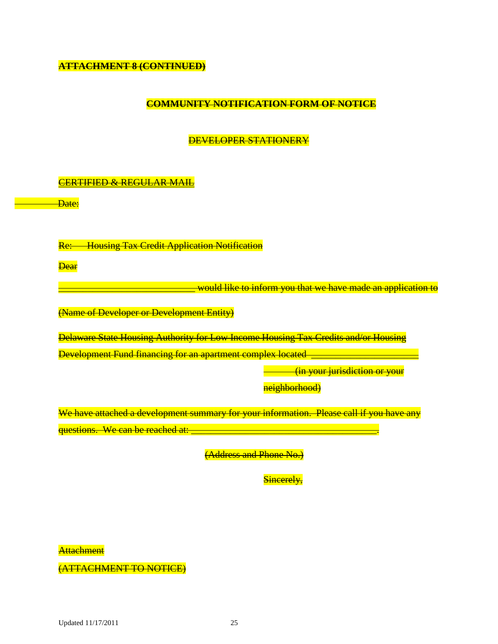**ATTACHMENT 8 (CONTINUED)**

# **COMMUNITY NOTIFICATION FORM OF NOTICE**

DEVELOPER STATIONERY

# CERTIFIED & REGULAR MAIL

Date:

Re: Housing Tax Credit Application Notification

**Dear** 

<u>\_\_would like to inform you that we have made an application to</u>

(Name of Developer or Development Entity)

Delaware State Housing Authority for Low Income Housing Tax Credits and/or Housing Development Fund financing for an apartment complex located

(in your jurisdiction or your

neighborhood)

We have attached a development summary for your information. Please call if you have any questions. We can be reached at:

(Address and Phone No.)

Sincerely,

Attachment

(ATTACHMENT TO NOTICE)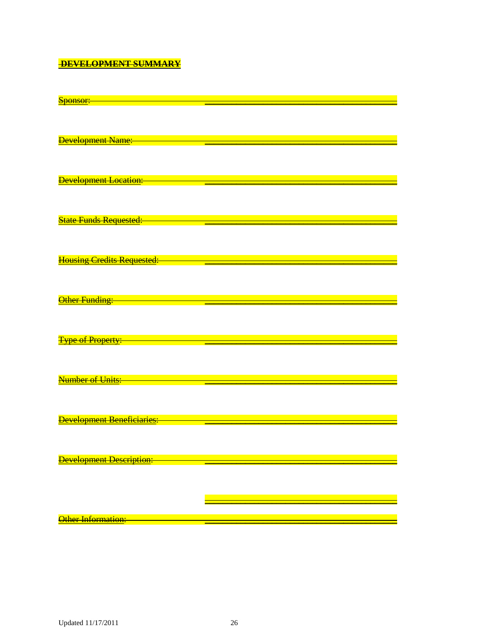# **DEVELOPMENT SUMMARY**

| <u>Sponsor:</u>                                |                                                                                                                         |
|------------------------------------------------|-------------------------------------------------------------------------------------------------------------------------|
|                                                |                                                                                                                         |
|                                                |                                                                                                                         |
|                                                |                                                                                                                         |
|                                                |                                                                                                                         |
|                                                |                                                                                                                         |
| <b>Development Name:</b>                       |                                                                                                                         |
|                                                |                                                                                                                         |
|                                                |                                                                                                                         |
|                                                |                                                                                                                         |
|                                                |                                                                                                                         |
|                                                |                                                                                                                         |
| <b>Development Location:</b>                   |                                                                                                                         |
|                                                |                                                                                                                         |
|                                                |                                                                                                                         |
|                                                |                                                                                                                         |
|                                                |                                                                                                                         |
|                                                |                                                                                                                         |
| State Funds Requested: State Tunder            |                                                                                                                         |
|                                                |                                                                                                                         |
|                                                |                                                                                                                         |
|                                                |                                                                                                                         |
|                                                |                                                                                                                         |
|                                                |                                                                                                                         |
| Housing Credits Requested: 2008 2010 2021 2022 |                                                                                                                         |
|                                                |                                                                                                                         |
|                                                |                                                                                                                         |
|                                                |                                                                                                                         |
|                                                |                                                                                                                         |
| Other Funding:                                 | $\mathcal{L}(\mathcal{L})$ and $\mathcal{L}(\mathcal{L})$ and $\mathcal{L}(\mathcal{L})$ and $\mathcal{L}(\mathcal{L})$ |
|                                                |                                                                                                                         |
|                                                |                                                                                                                         |
|                                                |                                                                                                                         |
|                                                |                                                                                                                         |
|                                                |                                                                                                                         |
| <b>Type of Property:</b>                       | <u> 1989 - Johann Barn, mars eta bainar eta bainar eta bainar eta bainar eta bainar eta bainar eta bainar eta ba</u>    |
|                                                |                                                                                                                         |
|                                                |                                                                                                                         |
|                                                |                                                                                                                         |
|                                                |                                                                                                                         |
|                                                |                                                                                                                         |
| Number of Units:                               |                                                                                                                         |
|                                                |                                                                                                                         |
|                                                |                                                                                                                         |
|                                                |                                                                                                                         |
|                                                |                                                                                                                         |
|                                                |                                                                                                                         |
| <b>Development Beneficiaries:</b>              |                                                                                                                         |
|                                                |                                                                                                                         |
|                                                |                                                                                                                         |
|                                                |                                                                                                                         |
|                                                |                                                                                                                         |
|                                                |                                                                                                                         |
| <b>Development Description:</b>                |                                                                                                                         |
|                                                |                                                                                                                         |
|                                                |                                                                                                                         |
|                                                |                                                                                                                         |
|                                                |                                                                                                                         |
|                                                |                                                                                                                         |
|                                                |                                                                                                                         |
|                                                |                                                                                                                         |
| Other Information:                             |                                                                                                                         |
|                                                |                                                                                                                         |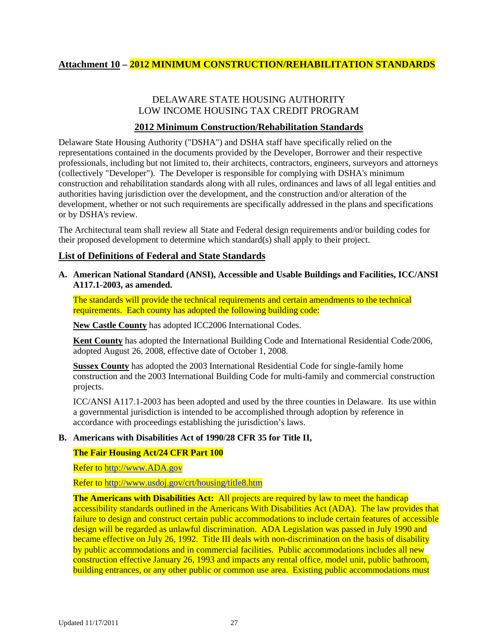# <span id="page-26-0"></span>**Attachment 10 – 2012 MINIMUM CONSTRUCTION/REHABILITATION STANDARDS**

# DELAWARE STATE HOUSING AUTHORITY LOW INCOME HOUSING TAX CREDIT PROGRAM

# **2012 Minimum Construction/Rehabilitation Standards**

Delaware State Housing Authority ("DSHA") and DSHA staff have specifically relied on the representations contained in the documents provided by the Developer, Borrower and their respective professionals, including but not limited to, their architects, contractors, engineers, surveyors and attorneys (collectively "Developer"). The Developer is responsible for complying with DSHA's minimum construction and rehabilitation standards along with all rules, ordinances and laws of all legal entities and authorities having jurisdiction over the development, and the construction and/or alteration of the development, whether or not such requirements are specifically addressed in the plans and specifications or by DSHA's review.

The Architectural team shall review all State and Federal design requirements and/or building codes for their proposed development to determine which standard(s) shall apply to their project.

#### <span id="page-26-1"></span>**List of Definitions of Federal and State Standards**

**A. American National Standard (ANSI), Accessible and Usable Buildings and Facilities, ICC/ANSI A117.1-2003, as amended.** 

The standards will provide the technical requirements and certain amendments to the technical requirements. Each county has adopted the following building code:

**New Castle County** has adopted ICC2006 International Codes.

**Kent County** has adopted the International Building Code and International Residential Code/2006, adopted August 26, 2008, effective date of October 1, 2008.

**Sussex County** has adopted the 2003 International Residential Code for single-family home construction and the 2003 International Building Code for multi-family and commercial construction projects.

ICC/ANSI A117.1-2003 has been adopted and used by the three counties in Delaware. Its use within a governmental jurisdiction is intended to be accomplished through adoption by reference in accordance with proceedings establishing the jurisdiction's laws.

#### **B. Americans with Disabilities Act of 1990/28 CFR 35 for Title II,**

#### **The Fair Housing Act/24 CFR Part 100**

Refer to [http://www.ADA.gov](http://www.ada.gov/)

Refer to<http://www.usdoj.gov/crt/housing/title8.htm>

**The Americans with Disabilities Act:** All projects are required by law to meet the handicap accessibility standards outlined in the Americans With Disabilities Act (ADA). The law provides that failure to design and construct certain public accommodations to include certain features of accessible design will be regarded as unlawful discrimination. ADA Legislation was passed in July 1990 and became effective on July 26, 1992. Title III deals with non-discrimination on the basis of disability by public accommodations and in commercial facilities. Public accommodations includes all new construction effective January 26, 1993 and impacts any rental office, model unit, public bathroom, building entrances, or any other public or common use area. Existing public accommodations must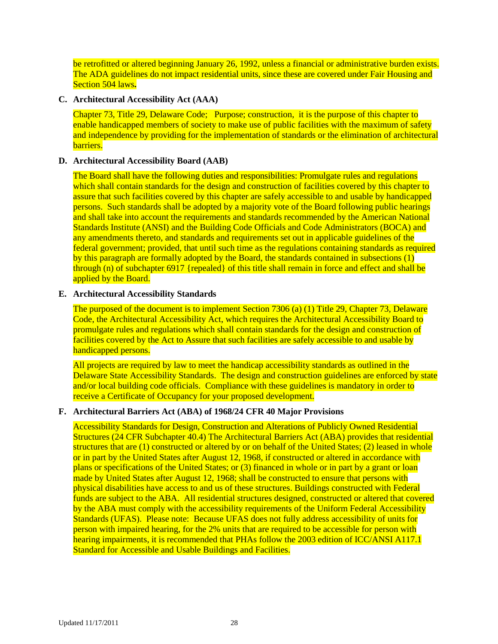be retrofitted or altered beginning January 26, 1992, unless a financial or administrative burden exists. The ADA guidelines do not impact residential units, since these are covered under Fair Housing and Section 504 laws**.**

#### **C. Architectural Accessibility Act (AAA)**

Chapter 73, Title 29, Delaware Code; Purpose; construction, it is the purpose of this chapter to enable handicapped members of society to make use of public facilities with the maximum of safety and independence by providing for the implementation of standards or the elimination of architectural barriers.

#### **D. Architectural Accessibility Board (AAB)**

The Board shall have the following duties and responsibilities: Promulgate rules and regulations which shall contain standards for the design and construction of facilities covered by this chapter to assure that such facilities covered by this chapter are safely accessible to and usable by handicapped persons. Such standards shall be adopted by a majority vote of the Board following public hearings and shall take into account the requirements and standards recommended by the American National Standards Institute (ANSI) and the Building Code Officials and Code Administrators (BOCA) and any amendments thereto, and standards and requirements set out in applicable guidelines of the federal government; provided, that until such time as the regulations containing standards as required by this paragraph are formally adopted by the Board, the standards contained in subsections (1) through (n) of subchapter 6917 {repealed} of this title shall remain in force and effect and shall be applied by the Board.

#### **E. Architectural Accessibility Standards**

The purposed of the document is to implement Section 7306 (a) (1) Title 29, Chapter 73, Delaware Code, the Architectural Accessibility Act, which requires the Architectural Accessibility Board to promulgate rules and regulations which shall contain standards for the design and construction of facilities covered by the Act to Assure that such facilities are safely accessible to and usable by handicapped persons.

All projects are required by law to meet the handicap accessibility standards as outlined in the Delaware State Accessibility Standards. The design and construction guidelines are enforced by state and/or local building code officials. Compliance with these guidelines is mandatory in order to receive a Certificate of Occupancy for your proposed development.

#### **F. Architectural Barriers Act (ABA) of 1968/24 CFR 40 Major Provisions**

Accessibility Standards for Design, Construction and Alterations of Publicly Owned Residential Structures (24 CFR Subchapter 40.4) The Architectural Barriers Act (ABA) provides that residential structures that are (1) constructed or altered by or on behalf of the United States; (2) leased in whole or in part by the United States after August 12, 1968, if constructed or altered in accordance with plans or specifications of the United States; or (3) financed in whole or in part by a grant or loan made by United States after August 12, 1968; shall be constructed to ensure that persons with physical disabilities have access to and us of these structures. Buildings constructed with Federal funds are subject to the ABA. All residential structures designed, constructed or altered that covered by the ABA must comply with the accessibility requirements of the Uniform Federal Accessibility Standards (UFAS). Please note: Because UFAS does not fully address accessibility of units for person with impaired hearing, for the 2% units that are required to be accessible for person with hearing impairments, it is recommended that PHAs follow the 2003 edition of ICC/ANSI A117.1 Standard for Accessible and Usable Buildings and Facilities.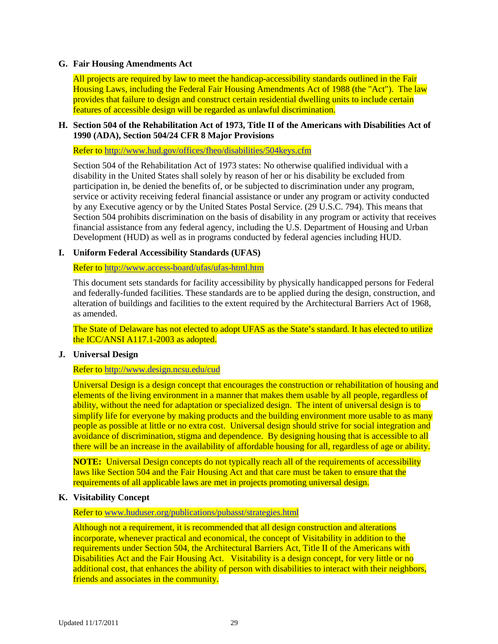#### **G. Fair Housing Amendments Act**

All projects are required by law to meet the handicap-accessibility standards outlined in the Fair Housing Laws, including the Federal Fair Housing Amendments Act of 1988 (the "Act"). The law provides that failure to design and construct certain residential dwelling units to include certain features of accessible design will be regarded as unlawful discrimination.

#### **H. Section 504 of the Rehabilitation Act of 1973, Title II of the Americans with Disabilities Act of 1990 (ADA), Section 504/24 CFR 8 Major Provisions**

Refer to<http://www.hud.gov/offices/fheo/disabilities/504keys.cfm>

Section 504 of the Rehabilitation Act of 1973 states: No otherwise qualified individual with a disability in the United States shall solely by reason of her or his disability be excluded from participation in, be denied the benefits of, or be subjected to discrimination under any program, service or activity receiving federal financial assistance or under any program or activity conducted by any Executive agency or by the United States Postal Service. (29 U.S.C. 794). This means that Section 504 prohibits discrimination on the basis of disability in any program or activity that receives financial assistance from any federal agency, including the U.S. Department of Housing and Urban Development (HUD) as well as in programs conducted by federal agencies including HUD.

#### **I. Uniform Federal Accessibility Standards (UFAS)**

Refer to<http://www.access-board/ufas/ufas-html.htm>

This document sets standards for facility accessibility by physically handicapped persons for Federal and federally-funded facilities. These standards are to be applied during the design, construction, and alteration of buildings and facilities to the extent required by the Architectural Barriers Act of 1968, as amended.

The State of Delaware has not elected to adopt UFAS as the State's standard. It has elected to utilize the ICC/ANSI A117.1-2003 as adopted.

#### **J. Universal Design**

#### Refer to<http://www.design.ncsu.edu/cud>

Universal Design is a design concept that encourages the construction or rehabilitation of housing and elements of the living environment in a manner that makes them usable by all people, regardless of ability, without the need for adaptation or specialized design. The intent of universal design is to simplify life for everyone by making products and the building environment more usable to as many people as possible at little or no extra cost. Universal design should strive for social integration and avoidance of discrimination, stigma and dependence. By designing housing that is accessible to all there will be an increase in the availability of affordable housing for all, regardless of age or ability.

**NOTE:** Universal Design concepts do not typically reach all of the requirements of accessibility laws like Section 504 and the Fair Housing Act and that care must be taken to ensure that the requirements of all applicable laws are met in projects promoting universal design.

#### **K. Visitability Concept**

Refer to [www.huduser.org/publications/pubasst/strategies.html](http://www.huduser.org/publications/pubasst/strategies.html)

Although not a requirement, it is recommended that all design construction and alterations incorporate, whenever practical and economical, the concept of Visitability in addition to the requirements under Section 504, the Architectural Barriers Act, Title II of the Americans with Disabilities Act and the Fair Housing Act. Visitability is a design concept, for very little or no additional cost, that enhances the ability of person with disabilities to interact with their neighbors, friends and associates in the community.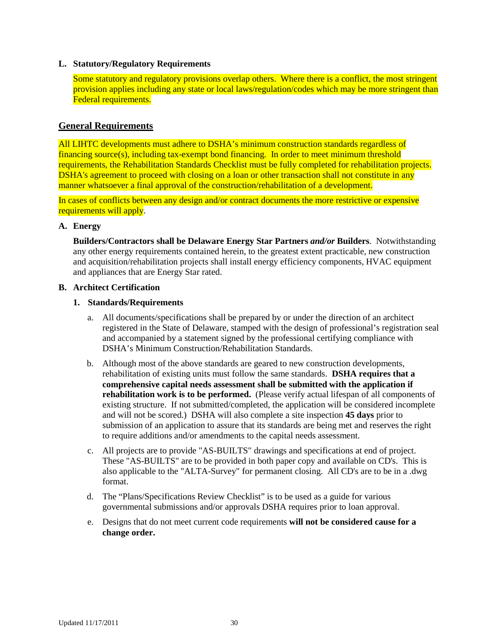#### **L. Statutory/Regulatory Requirements**

Some statutory and regulatory provisions overlap others. Where there is a conflict, the most stringent provision applies including any state or local laws/regulation/codes which may be more stringent than Federal requirements.

### <span id="page-29-0"></span>**General Requirements**

All LIHTC developments must adhere to DSHA's minimum construction standards regardless of  $f$ inancing source(s), including tax-exempt bond financing. In order to meet minimum threshold requirements, the Rehabilitation Standards Checklist must be fully completed for rehabilitation projects. DSHA's agreement to proceed with closing on a loan or other transaction shall not constitute in any manner whatsoever a final approval of the construction/rehabilitation of a development.

In cases of conflicts between any design and/or contract documents the more restrictive or expensive requirements will apply.

#### **A. Energy**

**Builders/Contractors shall be Delaware Energy Star Partners** *and/or* **Builders**. Notwithstanding any other energy requirements contained herein, to the greatest extent practicable, new construction and acquisition/rehabilitation projects shall install energy efficiency components, HVAC equipment and appliances that are Energy Star rated.

#### **B. Architect Certification**

#### **1. Standards/Requirements**

- a. All documents/specifications shall be prepared by or under the direction of an architect registered in the State of Delaware, stamped with the design of professional's registration seal and accompanied by a statement signed by the professional certifying compliance with DSHA's Minimum Construction/Rehabilitation Standards.
- b. Although most of the above standards are geared to new construction developments, rehabilitation of existing units must follow the same standards. **DSHA requires that a comprehensive capital needs assessment shall be submitted with the application if rehabilitation work is to be performed.** (Please verify actual lifespan of all components of existing structure. If not submitted/completed, the application will be considered incomplete and will not be scored.) DSHA will also complete a site inspection **45 days** prior to submission of an application to assure that its standards are being met and reserves the right to require additions and/or amendments to the capital needs assessment.
- c. All projects are to provide "AS-BUILTS" drawings and specifications at end of project. These "AS-BUILTS" are to be provided in both paper copy and available on CD's. This is also applicable to the "ALTA-Survey" for permanent closing. All CD's are to be in a .dwg format.
- d. The "Plans/Specifications Review Checklist" is to be used as a guide for various governmental submissions and/or approvals DSHA requires prior to loan approval.
- e. Designs that do not meet current code requirements **will not be considered cause for a change order.**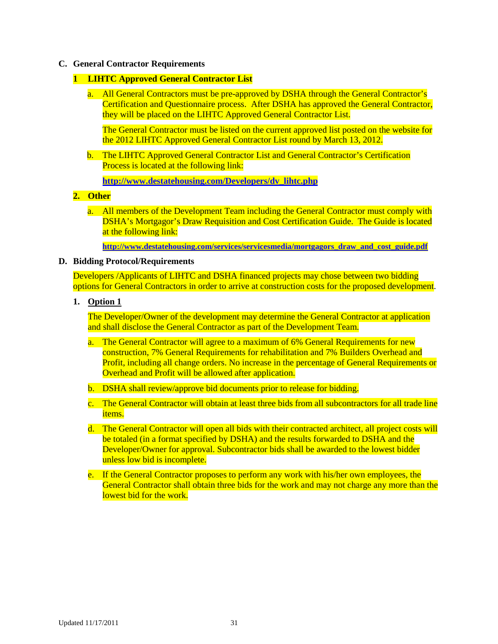#### **C. General Contractor Requirements**

#### **1 LIHTC Approved General Contractor List**

a. All General Contractors must be pre-approved by DSHA through the General Contractor's Certification and Questionnaire process. After DSHA has approved the General Contractor, they will be placed on the LIHTC Approved General Contractor List.

The General Contractor must be listed on the current approved list posted on the website for the 2012 LIHTC Approved General Contractor List round by March 13, 2012.

b. The LIHTC Approved General Contractor List and General Contractor's Certification Process is located at the following link:

**[http://www.destatehousing.com/Developers/dv\\_lihtc.php](http://www.destatehousing.com/Developers/dv_lihtc.php)**

#### **2. Other**

a. All members of the Development Team including the General Contractor must comply with DSHA's Mortgagor's Draw Requisition and Cost Certification Guide. The Guide is located at the following link:

**[http://www.destatehousing.com/services/servicesmedia/mortgagors\\_draw\\_and\\_cost\\_guide.pdf](http://www.destatehousing.com/services/servicesmedia/mortgagors_draw_and_cost_guide.pdf)**

#### **D. Bidding Protocol/Requirements**

Developers /Applicants of LIHTC and DSHA financed projects may chose between two bidding options for General Contractors in order to arrive at construction costs for the proposed development.

#### **1. Option 1**

The Developer/Owner of the development may determine the General Contractor at application and shall disclose the General Contractor as part of the Development Team.

- a. The General Contractor will agree to a maximum of 6% General Requirements for new construction, 7% General Requirements for rehabilitation and 7% Builders Overhead and Profit, including all change orders. No increase in the percentage of General Requirements or Overhead and Profit will be allowed after application.
- b. DSHA shall review/approve bid documents prior to release for bidding.
- c. The General Contractor will obtain at least three bids from all subcontractors for all trade line items.
- d. The General Contractor will open all bids with their contracted architect, all project costs will be totaled (in a format specified by DSHA) and the results forwarded to DSHA and the Developer/Owner for approval. Subcontractor bids shall be awarded to the lowest bidder unless low bid is incomplete.
- e. If the General Contractor proposes to perform any work with his/her own employees, the General Contractor shall obtain three bids for the work and may not charge any more than the lowest bid for the work.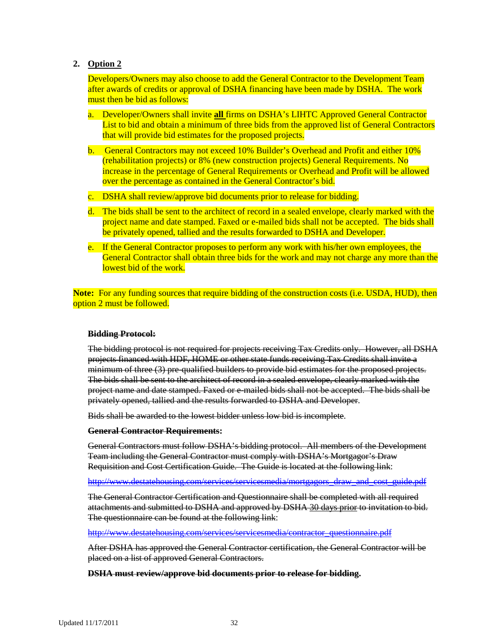# **2. Option 2**

Developers/Owners may also choose to add the General Contractor to the Development Team after awards of credits or approval of DSHA financing have been made by DSHA. The work must then be bid as follows:

- a. Developer/Owners shall invite **all** firms on DSHA's LIHTC Approved General Contractor List to bid and obtain a minimum of three bids from the approved list of General Contractors that will provide bid estimates for the proposed projects.
- b. General Contractors may not exceed 10% Builder's Overhead and Profit and either 10% (rehabilitation projects) or 8% (new construction projects) General Requirements. No increase in the percentage of General Requirements or Overhead and Profit will be allowed over the percentage as contained in the General Contractor's bid.
- c. DSHA shall review/approve bid documents prior to release for bidding.
- d. The bids shall be sent to the architect of record in a sealed envelope, clearly marked with the project name and date stamped. Faxed or e-mailed bids shall not be accepted. The bids shall be privately opened, tallied and the results forwarded to DSHA and Developer.
- e. If the General Contractor proposes to perform any work with his/her own employees, the General Contractor shall obtain three bids for the work and may not charge any more than the lowest bid of the work.

**Note:** For any funding sources that require bidding of the construction costs (i.e. USDA, HUD), then option 2 must be followed.

#### **Bidding Protocol:**

The bidding protocol is not required for projects receiving Tax Credits only. However, all DSHA projects financed with HDF, HOME or other state funds receiving Tax Credits shall invite a minimum of three (3) pre-qualified builders to provide bid estimates for the proposed projects. The bids shall be sent to the architect of record in a sealed envelope, clearly marked with the project name and date stamped. Faxed or e-mailed bids shall not be accepted. The bids shall be privately opened, tallied and the results forwarded to DSHA and Developer.

Bids shall be awarded to the lowest bidder unless low bid is incomplete.

#### **General Contractor Requirements:**

General Contractors must follow DSHA's bidding protocol. All members of the Development Team including the General Contractor must comply with DSHA's Mortgagor's Draw Requisition and Cost Certification Guide. The Guide is located at the following link:

[http://www.destatehousing.com/services/servicesmedia/mortgagors\\_draw\\_and\\_cost\\_guide.pdf](http://www.destatehousing.com/services/servicesmedia/mortgagors_draw_and_cost_guide.pdf)

The General Contractor Certification and Questionnaire shall be completed with all required attachments and submitted to DSHA and approved by DSHA 30 days prior to invitation to bid. The questionnaire can be found at the following link:

[http://www.destatehousing.com/services/servicesmedia/contractor\\_questionnaire.pdf](http://www.destatehousing.com/services/servicesmedia/contractor_questionnaire.pdf)

After DSHA has approved the General Contractor certification, the General Contractor will be placed on a list of approved General Contractors.

**DSHA must review/approve bid documents prior to release for bidding.**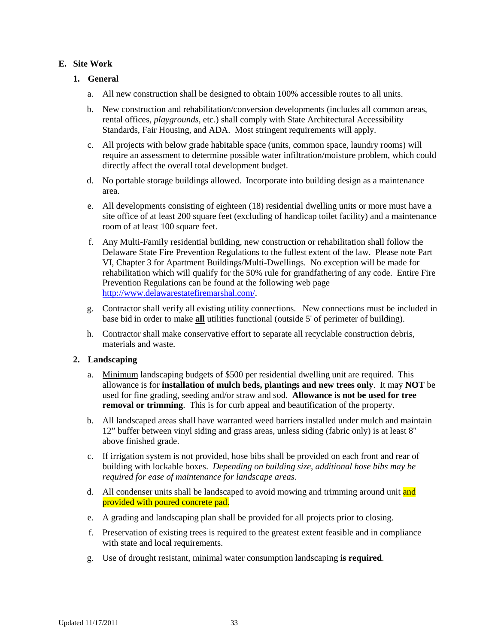# **E. Site Work**

# **1. General**

- a. All new construction shall be designed to obtain 100% accessible routes to all units.
- b. New construction and rehabilitation/conversion developments (includes all common areas, rental offices, *playgrounds,* etc.) shall comply with State Architectural Accessibility Standards, Fair Housing, and ADA. Most stringent requirements will apply.
- c. All projects with below grade habitable space (units, common space, laundry rooms) will require an assessment to determine possible water infiltration/moisture problem, which could directly affect the overall total development budget.
- d. No portable storage buildings allowed. Incorporate into building design as a maintenance area.
- e. All developments consisting of eighteen (18) residential dwelling units or more must have a site office of at least 200 square feet (excluding of handicap toilet facility) and a maintenance room of at least 100 square feet.
- f. Any Multi-Family residential building, new construction or rehabilitation shall follow the Delaware State Fire Prevention Regulations to the fullest extent of the law. Please note Part VI, Chapter 3 for Apartment Buildings/Multi-Dwellings. No exception will be made for rehabilitation which will qualify for the 50% rule for grandfathering of any code. Entire Fire Prevention Regulations can be found at the following web page [http://www.delawarestatefiremarshal.com/.](http://www.delawarestatefiremarshal.com/)
- g. Contractor shall verify all existing utility connections.New connections must be included in base bid in order to make **all** utilities functional (outside 5' of perimeter of building).
- h. Contractor shall make conservative effort to separate all recyclable construction debris, materials and waste.

#### **2. Landscaping**

- a. Minimum landscaping budgets of \$500 per residential dwelling unit are required. This allowance is for **installation of mulch beds, plantings and new trees only**. It may **NOT** be used for fine grading, seeding and/or straw and sod. **Allowance is not be used for tree removal or trimming**. This is for curb appeal and beautification of the property.
- b. All landscaped areas shall have warranted weed barriers installed under mulch and maintain 12" buffer between vinyl siding and grass areas, unless siding (fabric only) is at least 8" above finished grade.
- c. If irrigation system is not provided, hose bibs shall be provided on each front and rear of building with lockable boxes. *Depending on building size, additional hose bibs may be required for ease of maintenance for landscape areas.*
- d. All condenser units shall be landscaped to avoid mowing and trimming around unit and provided with poured concrete pad.
- e. A grading and landscaping plan shall be provided for all projects prior to closing.
- f. Preservation of existing trees is required to the greatest extent feasible and in compliance with state and local requirements.
- g. Use of drought resistant, minimal water consumption landscaping **is required**.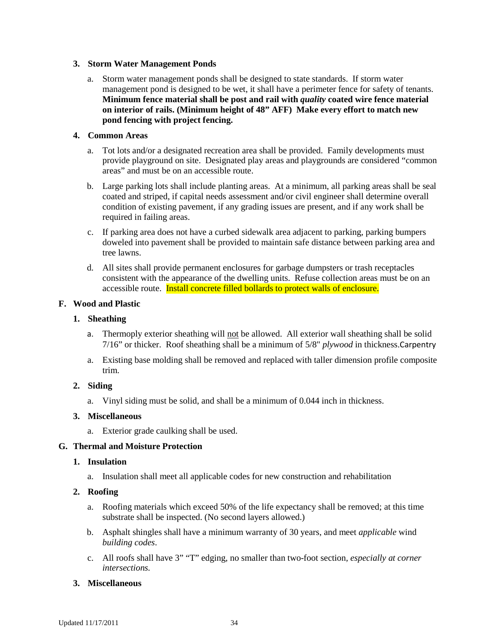#### **3. Storm Water Management Ponds**

a. Storm water management ponds shall be designed to state standards. If storm water management pond is designed to be wet, it shall have a perimeter fence for safety of tenants. **Minimum fence material shall be post and rail with** *quality* **coated wire fence material on interior of rails. (Minimum height of 48" AFF)****Make every effort to match new pond fencing with project fencing.**

#### **4. Common Areas**

- a. Tot lots and/or a designated recreation area shall be provided. Family developments must provide playground on site. Designated play areas and playgrounds are considered "common areas" and must be on an accessible route.
- b. Large parking lots shall include planting areas. At a minimum, all parking areas shall be seal coated and striped, if capital needs assessment and/or civil engineer shall determine overall condition of existing pavement, if any grading issues are present, and if any work shall be required in failing areas.
- c. If parking area does not have a curbed sidewalk area adjacent to parking, parking bumpers doweled into pavement shall be provided to maintain safe distance between parking area and tree lawns.
- d. All sites shall provide permanent enclosures for garbage dumpsters or trash receptacles consistent with the appearance of the dwelling units. Refuse collection areas must be on an accessible route. Install concrete filled bollards to protect walls of enclosure.

# **F. Wood and Plastic**

# **1. Sheathing**

- a. Thermoply exterior sheathing will not be allowed. All exterior wall sheathing shall be solid 7/16" or thicker. Roof sheathing shall be a minimum of 5/8" *plywood* in thickness.Carpentry
- a. Existing base molding shall be removed and replaced with taller dimension profile composite trim.

# **2. Siding**

a. Vinyl siding must be solid, and shall be a minimum of 0.044 inch in thickness.

# **3. Miscellaneous**

a. Exterior grade caulking shall be used.

# **G. Thermal and Moisture Protection**

#### **1. Insulation**

a. Insulation shall meet all applicable codes for new construction and rehabilitation

# **2. Roofing**

- a. Roofing materials which exceed 50% of the life expectancy shall be removed; at this time substrate shall be inspected. (No second layers allowed.)
- b. Asphalt shingles shall have a minimum warranty of 30 years, and meet *applicable* wind *building codes*.
- c. All roofs shall have 3" "T" edging, no smaller than two-foot section*, especially at corner intersections.*

#### **3. Miscellaneous**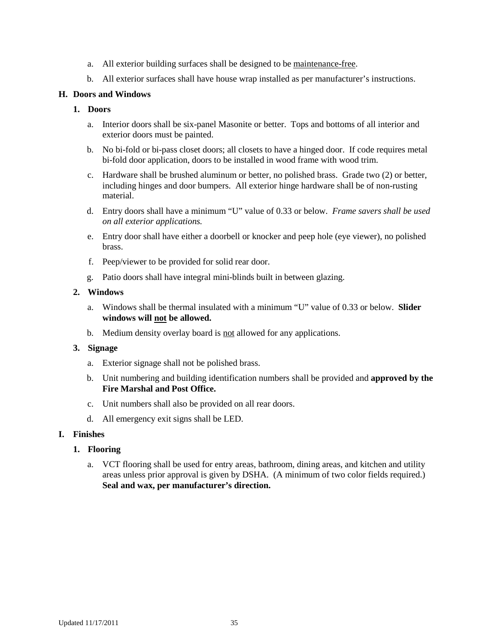- a. All exterior building surfaces shall be designed to be maintenance-free.
- b. All exterior surfaces shall have house wrap installed as per manufacturer's instructions.

#### **H. Doors and Windows**

#### **1. Doors**

- a. Interior doors shall be six-panel Masonite or better. Tops and bottoms of all interior and exterior doors must be painted.
- b. No bi-fold or bi-pass closet doors; all closets to have a hinged door. If code requires metal bi-fold door application, doors to be installed in wood frame with wood trim.
- c. Hardware shall be brushed aluminum or better, no polished brass. Grade two (2) or better, including hinges and door bumpers. All exterior hinge hardware shall be of non-rusting material.
- d. Entry doors shall have a minimum "U" value of 0.33 or below. *Frame savers shall be used on all exterior applications.*
- e. Entry door shall have either a doorbell or knocker and peep hole (eye viewer), no polished brass.
- f. Peep/viewer to be provided for solid rear door.
- g. Patio doors shall have integral mini-blinds built in between glazing.

#### **2. Windows**

- a. Windows shall be thermal insulated with a minimum "U" value of 0.33 or below. **Slider windows will not be allowed.**
- b. Medium density overlay board is not allowed for any applications.

#### **3. Signage**

- a. Exterior signage shall not be polished brass.
- b. Unit numbering and building identification numbers shall be provided and **approved by the Fire Marshal and Post Office.**
- c. Unit numbers shall also be provided on all rear doors.
- d. All emergency exit signs shall be LED.

### **I. Finishes**

#### **1. Flooring**

a. VCT flooring shall be used for entry areas, bathroom, dining areas, and kitchen and utility areas unless prior approval is given by DSHA. (A minimum of two color fields required.) **Seal and wax, per manufacturer's direction.**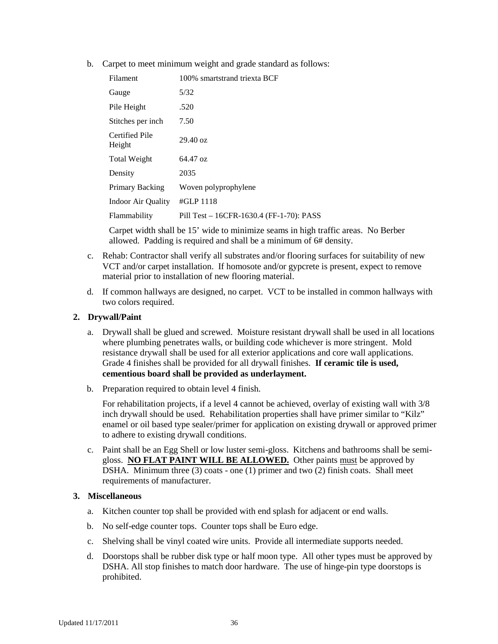b. Carpet to meet minimum weight and grade standard as follows:

| Filament                 | 100% smartstrand triexta BCF             |
|--------------------------|------------------------------------------|
| Gauge                    | 5/32                                     |
| Pile Height              | .520                                     |
| Stitches per inch        | 7.50                                     |
| Certified Pile<br>Height | $29.40 \text{ oz}$                       |
| <b>Total Weight</b>      | 64.47 oz                                 |
| Density                  | 2035                                     |
| Primary Backing          | Woven polyprophylene                     |
| Indoor Air Quality       | $#GLP$ 1118                              |
| Flammability             | Pill Test – 16CFR-1630.4 (FF-1-70): PASS |
|                          |                                          |

Carpet width shall be 15' wide to minimize seams in high traffic areas. No Berber allowed. Padding is required and shall be a minimum of 6# density.

- c. Rehab: Contractor shall verify all substrates and/or flooring surfaces for suitability of new VCT and/or carpet installation. If homosote and/or gypcrete is present, expect to remove material prior to installation of new flooring material.
- d. If common hallways are designed, no carpet. VCT to be installed in common hallways with two colors required.

#### **2. Drywall/Paint**

- a. Drywall shall be glued and screwed. Moisture resistant drywall shall be used in all locations where plumbing penetrates walls, or building code whichever is more stringent. Mold resistance drywall shall be used for all exterior applications and core wall applications. Grade 4 finishes shall be provided for all drywall finishes. **If ceramic tile is used, cementious board shall be provided as underlayment.**
- b. Preparation required to obtain level 4 finish.

For rehabilitation projects, if a level 4 cannot be achieved, overlay of existing wall with 3/8 inch drywall should be used. Rehabilitation properties shall have primer similar to "Kilz" enamel or oil based type sealer/primer for application on existing drywall or approved primer to adhere to existing drywall conditions.

c. Paint shall be an Egg Shell or low luster semi-gloss. Kitchens and bathrooms shall be semigloss. **NO FLAT PAINT WILL BE ALLOWED.** Other paints must be approved by DSHA. Minimum three (3) coats - one (1) primer and two (2) finish coats. Shall meet requirements of manufacturer.

#### **3. Miscellaneous**

- a. Kitchen counter top shall be provided with end splash for adjacent or end walls.
- b. No self-edge counter tops. Counter tops shall be Euro edge.
- c. Shelving shall be vinyl coated wire units. Provide all intermediate supports needed.
- d. Doorstops shall be rubber disk type or half moon type. All other types must be approved by DSHA. All stop finishes to match door hardware. The use of hinge-pin type doorstops is prohibited.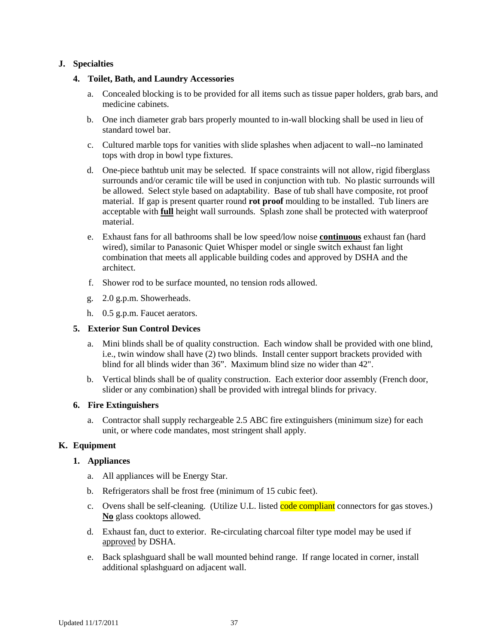# **J. Specialties**

#### **4. Toilet, Bath, and Laundry Accessories**

- a. Concealed blocking is to be provided for all items such as tissue paper holders, grab bars, and medicine cabinets.
- b. One inch diameter grab bars properly mounted to in-wall blocking shall be used in lieu of standard towel bar.
- c. Cultured marble tops for vanities with slide splashes when adjacent to wall--no laminated tops with drop in bowl type fixtures.
- d. One-piece bathtub unit may be selected. If space constraints will not allow, rigid fiberglass surrounds and/or ceramic tile will be used in conjunction with tub. No plastic surrounds will be allowed. Select style based on adaptability. Base of tub shall have composite, rot proof material. If gap is present quarter round **rot proof** moulding to be installed. Tub liners are acceptable with **full** height wall surrounds. Splash zone shall be protected with waterproof material.
- e. Exhaust fans for all bathrooms shall be low speed/low noise **continuous** exhaust fan (hard wired), similar to Panasonic Quiet Whisper model or single switch exhaust fan light combination that meets all applicable building codes and approved by DSHA and the architect.
- f. Shower rod to be surface mounted, no tension rods allowed.
- g. 2.0 g.p.m. Showerheads.
- h. 0.5 g.p.m. Faucet aerators.

#### **5. Exterior Sun Control Devices**

- a. Mini blinds shall be of quality construction. Each window shall be provided with one blind, i.e., twin window shall have (2) two blinds. Install center support brackets provided with blind for all blinds wider than 36". Maximum blind size no wider than 42".
- b. Vertical blinds shall be of quality construction. Each exterior door assembly (French door, slider or any combination) shall be provided with intregal blinds for privacy.

#### **6. Fire Extinguishers**

a. Contractor shall supply rechargeable 2.5 ABC fire extinguishers (minimum size) for each unit, or where code mandates, most stringent shall apply.

# **K. Equipment**

#### **1. Appliances**

- a. All appliances will be Energy Star.
- b. Refrigerators shall be frost free (minimum of 15 cubic feet).
- c. Ovens shall be self-cleaning. (Utilize U.L. listed code compliant connectors for gas stoves.) **No** glass cooktops allowed.
- d. Exhaust fan, duct to exterior. Re-circulating charcoal filter type model may be used if approved by DSHA.
- e. Back splashguard shall be wall mounted behind range. If range located in corner, install additional splashguard on adjacent wall.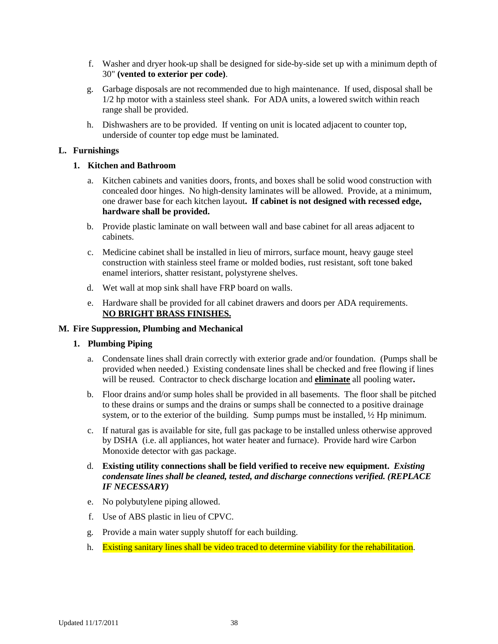- f. Washer and dryer hook-up shall be designed for side-by-side set up with a minimum depth of 30" **(vented to exterior per code)**.
- g. Garbage disposals are not recommended due to high maintenance. If used, disposal shall be 1/2 hp motor with a stainless steel shank. For ADA units, a lowered switch within reach range shall be provided.
- h. Dishwashers are to be provided. If venting on unit is located adjacent to counter top, underside of counter top edge must be laminated.

### **L. Furnishings**

# **1. Kitchen and Bathroom**

- a. Kitchen cabinets and vanities doors, fronts, and boxes shall be solid wood construction with concealed door hinges. No high-density laminates will be allowed. Provide, at a minimum, one drawer base for each kitchen layout**. If cabinet is not designed with recessed edge, hardware shall be provided.**
- b. Provide plastic laminate on wall between wall and base cabinet for all areas adjacent to cabinets.
- c. Medicine cabinet shall be installed in lieu of mirrors, surface mount, heavy gauge steel construction with stainless steel frame or molded bodies, rust resistant, soft tone baked enamel interiors, shatter resistant, polystyrene shelves.
- d. Wet wall at mop sink shall have FRP board on walls.
- e. Hardware shall be provided for all cabinet drawers and doors per ADA requirements. **NO BRIGHT BRASS FINISHES.**

#### **M. Fire Suppression, Plumbing and Mechanical**

#### **1. Plumbing Piping**

- a. Condensate lines shall drain correctly with exterior grade and/or foundation. (Pumps shall be provided when needed.) Existing condensate lines shall be checked and free flowing if lines will be reused. Contractor to check discharge location and **eliminate** all pooling water**.**
- b. Floor drains and/or sump holes shall be provided in all basements. The floor shall be pitched to these drains or sumps and the drains or sumps shall be connected to a positive drainage system, or to the exterior of the building. Sump pumps must be installed, ½ Hp minimum.
- c. If natural gas is available for site, full gas package to be installed unless otherwise approved by DSHA (i.e. all appliances, hot water heater and furnace). Provide hard wire Carbon Monoxide detector with gas package.
- d. **Existing utility connections shall be field verified to receive new equipment.** *Existing condensate lines shall be cleaned, tested, and discharge connections verified. (REPLACE IF NECESSARY)*
- e. No polybutylene piping allowed.
- f. Use of ABS plastic in lieu of CPVC.
- g. Provide a main water supply shutoff for each building.
- h. Existing sanitary lines shall be video traced to determine viability for the rehabilitation.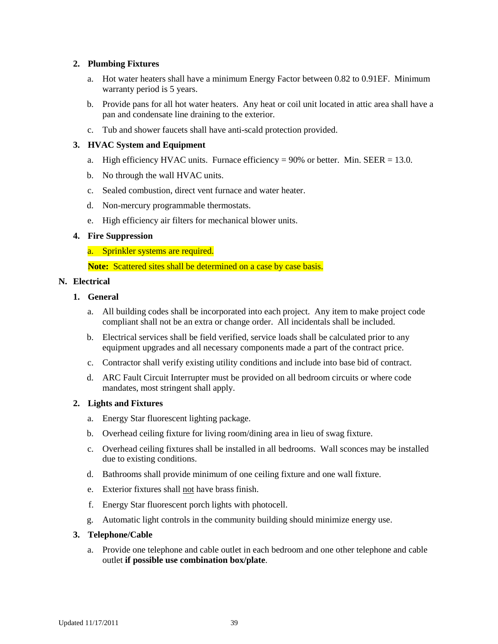#### **2. Plumbing Fixtures**

- a. Hot water heaters shall have a minimum Energy Factor between 0.82 to 0.91EF. Minimum warranty period is 5 years.
- b. Provide pans for all hot water heaters. Any heat or coil unit located in attic area shall have a pan and condensate line draining to the exterior.
- c. Tub and shower faucets shall have anti-scald protection provided.

# **3. HVAC System and Equipment**

- a. High efficiency HVAC units. Furnace efficiency  $= 90\%$  or better. Min. SEER  $= 13.0$ .
- b. No through the wall HVAC units.
- c. Sealed combustion, direct vent furnace and water heater.
- d. Non-mercury programmable thermostats.
- e. High efficiency air filters for mechanical blower units.

# **4. Fire Suppression**

a. Sprinkler systems are required.

**Note:** Scattered sites shall be determined on a case by case basis.

### **N. Electrical**

# **1. General**

- a. All building codes shall be incorporated into each project. Any item to make project code compliant shall not be an extra or change order. All incidentals shall be included.
- b. Electrical services shall be field verified, service loads shall be calculated prior to any equipment upgrades and all necessary components made a part of the contract price.
- c. Contractor shall verify existing utility conditions and include into base bid of contract.
- d. ARC Fault Circuit Interrupter must be provided on all bedroom circuits or where code mandates, most stringent shall apply.

#### **2. Lights and Fixtures**

- a. Energy Star fluorescent lighting package.
- b. Overhead ceiling fixture for living room/dining area in lieu of swag fixture.
- c. Overhead ceiling fixtures shall be installed in all bedrooms. Wall sconces may be installed due to existing conditions.
- d. Bathrooms shall provide minimum of one ceiling fixture and one wall fixture.
- e. Exterior fixtures shall not have brass finish.
- f. Energy Star fluorescent porch lights with photocell.
- g. Automatic light controls in the community building should minimize energy use.

#### **3. Telephone/Cable**

a. Provide one telephone and cable outlet in each bedroom and one other telephone and cable outlet **if possible use combination box/plate**.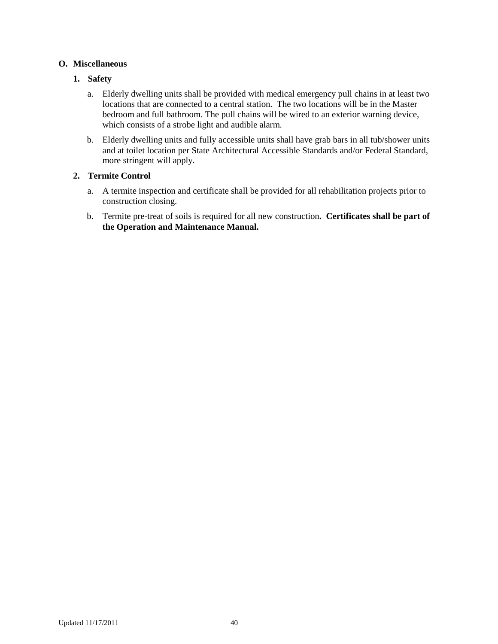# **O. Miscellaneous**

# **1. Safety**

- a. Elderly dwelling units shall be provided with medical emergency pull chains in at least two locations that are connected to a central station. The two locations will be in the Master bedroom and full bathroom. The pull chains will be wired to an exterior warning device, which consists of a strobe light and audible alarm.
- b. Elderly dwelling units and fully accessible units shall have grab bars in all tub/shower units and at toilet location per State Architectural Accessible Standards and/or Federal Standard, more stringent will apply.

# **2. Termite Control**

- a. A termite inspection and certificate shall be provided for all rehabilitation projects prior to construction closing.
- b. Termite pre-treat of soils is required for all new construction**.****Certificates shall be part of the Operation and Maintenance Manual.**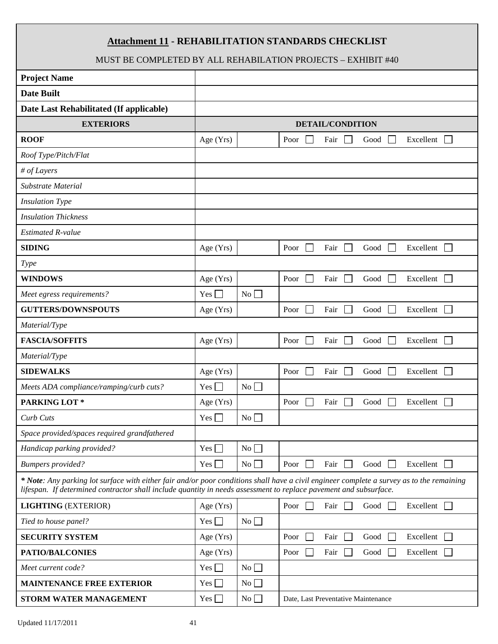# **Attachment 11 - REHABILITATION STANDARDS CHECKLIST**

# MUST BE COMPLETED BY ALL REHABILATION PROJECTS – EXHIBIT #40

<span id="page-40-0"></span>

| <b>Project Name</b>                                                                                               |              |           |                                                                                                                                           |
|-------------------------------------------------------------------------------------------------------------------|--------------|-----------|-------------------------------------------------------------------------------------------------------------------------------------------|
| <b>Date Built</b>                                                                                                 |              |           |                                                                                                                                           |
| Date Last Rehabilitated (If applicable)                                                                           |              |           |                                                                                                                                           |
| <b>EXTERIORS</b>                                                                                                  |              |           | <b>DETAIL/CONDITION</b>                                                                                                                   |
| <b>ROOF</b>                                                                                                       | Age (Yrs)    |           | Excellent<br>Poor<br>Fair<br>Good                                                                                                         |
| Roof Type/Pitch/Flat                                                                                              |              |           |                                                                                                                                           |
| # of Layers                                                                                                       |              |           |                                                                                                                                           |
| Substrate Material                                                                                                |              |           |                                                                                                                                           |
| <b>Insulation Type</b>                                                                                            |              |           |                                                                                                                                           |
| <b>Insulation Thickness</b>                                                                                       |              |           |                                                                                                                                           |
| <b>Estimated R-value</b>                                                                                          |              |           |                                                                                                                                           |
| <b>SIDING</b>                                                                                                     | Age (Yrs)    |           | Poor<br>Excellent<br>Fair<br>Good                                                                                                         |
| <b>Type</b>                                                                                                       |              |           |                                                                                                                                           |
| <b>WINDOWS</b>                                                                                                    | Age (Yrs)    |           | Good<br>Excellent<br>Poor<br>Fair                                                                                                         |
| Meet egress requirements?                                                                                         | $Yes \Box$   | $No \Box$ |                                                                                                                                           |
| <b>GUTTERS/DOWNSPOUTS</b>                                                                                         | Age $(Yrs)$  |           | Excellent<br>Poor<br>Fair<br>Good<br>$\mathbf{1}$<br>$\sim$                                                                               |
| Material/Type                                                                                                     |              |           |                                                                                                                                           |
| <b>FASCIA/SOFFITS</b>                                                                                             | Age (Yrs)    |           | Good<br>Excellent<br>Poor<br>Fair<br>$\mathbf{1}$                                                                                         |
| Material/Type                                                                                                     |              |           |                                                                                                                                           |
| <b>SIDEWALKS</b>                                                                                                  | Age (Yrs)    |           | Excellent<br>Poor<br>Fair<br>Good                                                                                                         |
| Meets ADA compliance/ramping/curb cuts?                                                                           | Yes $\Box$   | No        |                                                                                                                                           |
| PARKING LOT*                                                                                                      | Age (Yrs)    |           | Poor<br>Fair<br>Excellent<br>Good<br>$\mathbb{R}^n$<br>$\mathbf{1}$                                                                       |
| Curb Cuts                                                                                                         | $Yes$ $\Box$ | No        |                                                                                                                                           |
| Space provided/spaces required grandfathered                                                                      |              |           |                                                                                                                                           |
| Handicap parking provided?                                                                                        | $Yes \Box$   | No        |                                                                                                                                           |
| <b>Bumpers</b> provided?                                                                                          | Yes $\Box$   | No        | Excellent $\Box$<br>Poor<br>Fair<br>Good                                                                                                  |
| lifespan. If determined contractor shall include quantity in needs assessment to replace pavement and subsurface. |              |           | * Note: Any parking lot surface with either fair and/or poor conditions shall have a civil engineer complete a survey as to the remaining |
| <b>LIGHTING (EXTERIOR)</b>                                                                                        | Age (Yrs)    |           | Poor<br>Excellent<br>Fair<br>Good<br>$\mathbf{I}$                                                                                         |
| Tied to house panel?                                                                                              | $Yes$ $\Box$ | No        |                                                                                                                                           |
| <b>SECURITY SYSTEM</b>                                                                                            | Age (Yrs)    |           | Excellent<br>Poor<br>Fair<br>Good                                                                                                         |
| <b>PATIO/BALCONIES</b>                                                                                            | Age (Yrs)    |           | Fair<br>Good<br>Excellent<br>Poor<br>$\overline{\phantom{a}}$                                                                             |
| Meet current code?                                                                                                | $Yes \Box$   | No        |                                                                                                                                           |
| <b>MAINTENANCE FREE EXTERIOR</b>                                                                                  | $Yes \Box$   | No        |                                                                                                                                           |
| STORM WATER MANAGEMENT                                                                                            | $Yes \Box$   | No        | Date, Last Preventative Maintenance                                                                                                       |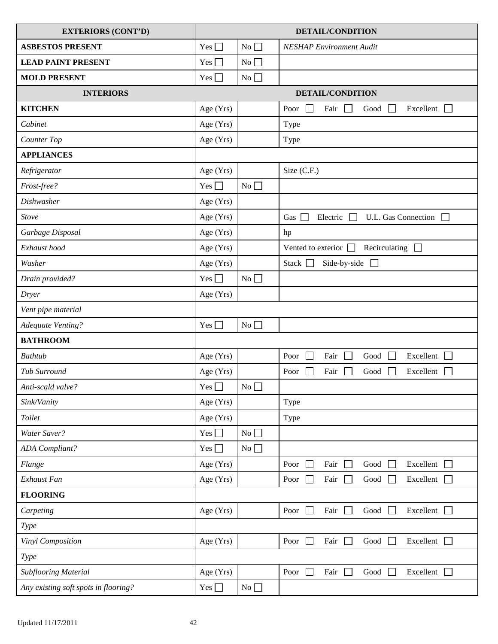| <b>EXTERIORS (CONT'D)</b>            | <b>DETAIL/CONDITION</b> |    |                                                                                               |
|--------------------------------------|-------------------------|----|-----------------------------------------------------------------------------------------------|
| <b>ASBESTOS PRESENT</b>              | $Yes \Box$              | No | <b>NESHAP</b> Environment Audit                                                               |
| <b>LEAD PAINT PRESENT</b>            | Yes $\Box$              | No |                                                                                               |
| <b>MOLD PRESENT</b>                  | Yes $\Box$              | No |                                                                                               |
| <b>INTERIORS</b>                     |                         |    | <b>DETAIL/CONDITION</b>                                                                       |
| <b>KITCHEN</b>                       | Age (Yrs)               |    | Poor<br>Fair<br>Excellent<br>$\mathbf{1}$<br>Good<br>$\mathbf{I}$<br>$\overline{\phantom{0}}$ |
| Cabinet                              | Age (Yrs)               |    | Type                                                                                          |
| Counter Top                          | Age (Yrs)               |    | Type                                                                                          |
| <b>APPLIANCES</b>                    |                         |    |                                                                                               |
| Refrigerator                         | Age $(Yrs)$             |    | Size (C.F.)                                                                                   |
| Frost-free?                          | $Yes$ $\Box$            | No |                                                                                               |
| <b>Dishwasher</b>                    | Age (Yrs)               |    |                                                                                               |
| Stove                                | Age (Yrs)               |    | U.L. Gas Connection<br>Gas<br>Electric<br>$\overline{\phantom{a}}$<br>$\Box$                  |
| Garbage Disposal                     | Age (Yrs)               |    | hp                                                                                            |
| Exhaust hood                         | Age (Yrs)               |    | Recirculating $\Box$<br>Vented to exterior $\Box$                                             |
| Washer                               | Age (Yrs)               |    | Side-by-side<br>Stack $\Box$<br>$\perp$                                                       |
| Drain provided?                      | Yes $\Box$              | No |                                                                                               |
| Dryer                                | Age (Yrs)               |    |                                                                                               |
| Vent pipe material                   |                         |    |                                                                                               |
| Adequate Venting?                    | Yes $\Box$              | No |                                                                                               |
| <b>BATHROOM</b>                      |                         |    |                                                                                               |
| <b>Bathtub</b>                       | Age (Yrs)               |    | Excellent $\Box$<br>Poor<br>Fair<br>$\Box$<br>Good<br>$\perp$                                 |
| Tub Surround                         | Age (Yrs)               |    | Fair<br>Good<br>Excellent<br>Poor                                                             |
| Anti-scald valve?                    | Yes $\Box$              | No |                                                                                               |
| Sink/Vanity                          | Age $(Yrs)$             |    | Type                                                                                          |
| Toilet                               | Age (Yrs)               |    | Type                                                                                          |
| Water Saver?                         | Yes $\Box$              | No |                                                                                               |
| <b>ADA</b> Compliant?                | Yes $\Box$              | No |                                                                                               |
| Flange                               | Age (Yrs)               |    | Excellent<br>Poor<br>Fair<br>Good                                                             |
| Exhaust Fan                          | Age (Yrs)               |    | Fair<br>Excellent<br>Good<br>Poor<br>$\overline{\phantom{a}}$                                 |
| <b>FLOORING</b>                      |                         |    |                                                                                               |
| Carpeting                            | Age (Yrs)               |    | Excellent $\Box$<br>Fair<br>Good $\Box$<br>Poor                                               |
| Type                                 |                         |    |                                                                                               |
| Vinyl Composition                    | Age (Yrs)               |    | Fair<br>Good<br>Excellent $\Box$<br>Poor<br>$\mathbf{1}$<br>$\Box$                            |
| Type                                 |                         |    |                                                                                               |
| Subflooring Material                 | Age (Yrs)               |    | Poor<br>Fair<br>Excellent<br>Good                                                             |
| Any existing soft spots in flooring? | Yes $\Box$              | No |                                                                                               |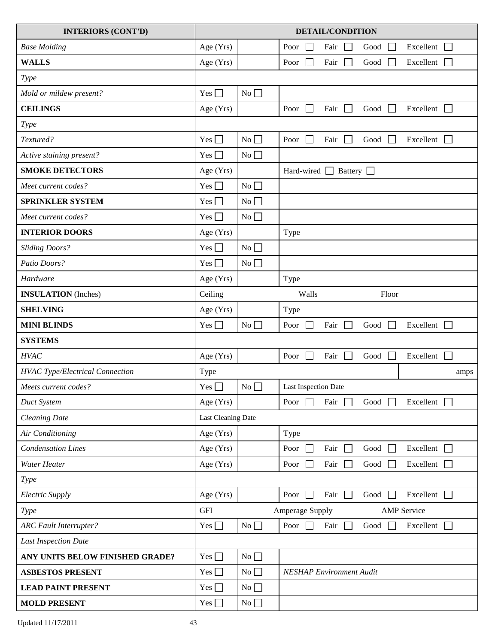| <b>INTERIORS (CONT'D)</b>              |                    |    | <b>DETAIL/CONDITION</b>                                                                         |
|----------------------------------------|--------------------|----|-------------------------------------------------------------------------------------------------|
| <b>Base Molding</b>                    | Age (Yrs)          |    | Excellent<br>Poor<br>Fair<br>Good<br>$\overline{\phantom{0}}$                                   |
| <b>WALLS</b>                           | Age (Yrs)          |    | Fair<br>Excellent<br>Poor<br>$\sim$<br>Good<br>$\overline{\phantom{0}}$                         |
| Type                                   |                    |    |                                                                                                 |
| Mold or mildew present?                | $Yes \Box$         | No |                                                                                                 |
| <b>CEILINGS</b>                        | Age (Yrs)          |    | Excellent<br>Poor<br>Fair<br>Good<br>$\overline{\phantom{a}}$<br>$\mathbf{1}$<br>$\blacksquare$ |
| Type                                   |                    |    |                                                                                                 |
| Textured?                              | $Yes \Box$         | No | Fair<br>Good<br>Excellent<br>Poor<br>$\Box$                                                     |
| Active staining present?               | $Yes \Box$         | No |                                                                                                 |
| <b>SMOKE DETECTORS</b>                 | Age (Yrs)          |    | Hard-wired $\Box$ Battery $\Box$                                                                |
| Meet current codes?                    | Yes $\Box$         | No |                                                                                                 |
| <b>SPRINKLER SYSTEM</b>                | $Yes$ $\Box$       | No |                                                                                                 |
| Meet current codes?                    | Yes $\Box$         | No |                                                                                                 |
| <b>INTERIOR DOORS</b>                  | Age (Yrs)          |    | Type                                                                                            |
| <b>Sliding Doors?</b>                  | Yes $\Box$         | No |                                                                                                 |
| Patio Doors?                           | Yes $\Box$         | No |                                                                                                 |
| Hardware                               | Age (Yrs)          |    | Type                                                                                            |
| <b>INSULATION</b> (Inches)             | Ceiling            |    | Walls<br>Floor                                                                                  |
| <b>SHELVING</b>                        | Age (Yrs)          |    | Type                                                                                            |
| <b>MINI BLINDS</b>                     | $Yes \Box$         | No | Excellent<br>Fair<br>Good<br>$\Box$<br>Poor                                                     |
| <b>SYSTEMS</b>                         |                    |    |                                                                                                 |
| <b>HVAC</b>                            | Age $(Yrs)$        |    | Excellent $\Box$<br>$\mathbf{I}$<br>Fair<br>Good<br>Poor<br>$\blacksquare$                      |
| <b>HVAC Type/Electrical Connection</b> | Type               |    | amps                                                                                            |
| Meets current codes?                   | Yes $\square$      | No | Last Inspection Date                                                                            |
| Duct System                            | Age $(Yrs)$        |    | Excellent<br>Fair<br>Good<br>Poor<br>$\mathbf{1}$                                               |
| <b>Cleaning Date</b>                   | Last Cleaning Date |    |                                                                                                 |
| Air Conditioning                       | Age (Yrs)          |    | Type                                                                                            |
| <b>Condensation Lines</b>              | Age (Yrs)          |    | Excellent $\Box$<br>Fair<br>Good<br>Poor<br>$\mathcal{L}$                                       |
| Water Heater                           | Age (Yrs)          |    | Excellent<br>Fair<br>Good<br>Poor                                                               |
| Type                                   |                    |    |                                                                                                 |
| <b>Electric Supply</b>                 | Age (Yrs)          |    | Fair<br>Excellent<br>Poor<br>Good<br>$\Box$<br>×                                                |
| Type                                   | <b>GFI</b>         |    | Amperage Supply<br><b>AMP</b> Service                                                           |
| <b>ARC</b> Fault Interrupter?          | $Yes$ $\Box$       | No | Poor<br>┓<br>Fair<br>Good<br>Excellent<br>$\perp$<br>$\blacksquare$                             |
| <b>Last Inspection Date</b>            |                    |    |                                                                                                 |
| ANY UNITS BELOW FINISHED GRADE?        | $Yes \Box$         | No |                                                                                                 |
| <b>ASBESTOS PRESENT</b>                | Yes $\Box$         | No | <b>NESHAP Environment Audit</b>                                                                 |
| <b>LEAD PAINT PRESENT</b>              | Yes $\Box$         | No |                                                                                                 |
| <b>MOLD PRESENT</b>                    | Yes $\square$      | No |                                                                                                 |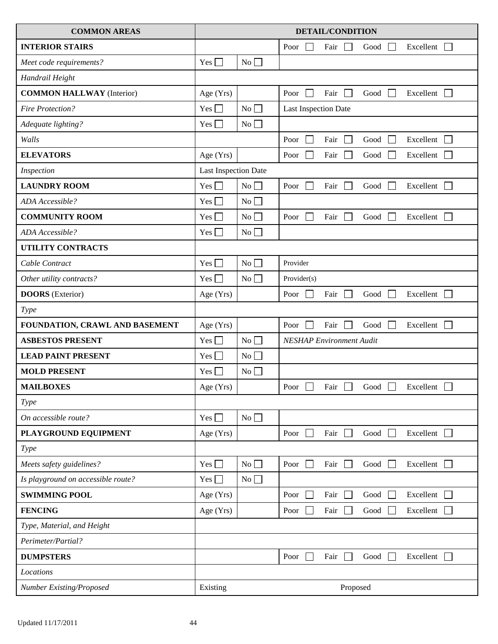| <b>COMMON AREAS</b>                | <b>DETAIL/CONDITION</b>     |    |                                                                                |
|------------------------------------|-----------------------------|----|--------------------------------------------------------------------------------|
| <b>INTERIOR STAIRS</b>             |                             |    | Excellent<br>Poor<br>Fair<br>Good<br>$\Box$                                    |
| Meet code requirements?            | $Yes \Box$                  | No |                                                                                |
| Handrail Height                    |                             |    |                                                                                |
| <b>COMMON HALLWAY</b> (Interior)   | Age (Yrs)                   |    | $\mathbf{L}$<br>Excellent<br>Poor<br>Fair<br>Good<br>$\Box$<br>$\mathcal{L}$   |
| <b>Fire Protection?</b>            | Yes $\Box$                  | No | Last Inspection Date                                                           |
| Adequate lighting?                 | Yes $\Box$                  | No |                                                                                |
| Walls                              |                             |    | Fair<br>Excellent<br>Poor<br>$\sim$<br>Good<br>$\sim$<br>$\mathcal{L}$         |
| <b>ELEVATORS</b>                   | Age (Yrs)                   |    | Excellent<br>$\overline{\phantom{0}}$<br>Fair<br>Good<br>Poor<br>$\sim$        |
| Inspection                         | <b>Last Inspection Date</b> |    |                                                                                |
| <b>LAUNDRY ROOM</b>                | $Yes$ $\Box$                | No | $\mathbf{L}$<br>Excellent $\Box$<br>Poor<br>Fair<br>Good<br>$\mathcal{L}$      |
| ADA Accessible?                    | $Yes \Box$                  | No |                                                                                |
| <b>COMMUNITY ROOM</b>              | $Yes \Box$                  | No | Fair<br>Excellent<br>Poor<br>Good<br>$\overline{\phantom{0}}$<br>$\mathcal{L}$ |
| ADA Accessible?                    | $Yes \Box$                  | No |                                                                                |
| UTILITY CONTRACTS                  |                             |    |                                                                                |
| Cable Contract                     | $Yes \Box$                  | No | Provider                                                                       |
| Other utility contracts?           | $Yes$ $\Box$                | No | Provider(s)                                                                    |
| <b>DOORS</b> (Exterior)            | Age (Yrs)                   |    | Fair<br>Good<br>Excellent<br>Poor<br>$\perp$<br>$\Box$<br>$\mathbf{1}$         |
| Type                               |                             |    |                                                                                |
| FOUNDATION, CRAWL AND BASEMENT     | Age (Yrs)                   |    | Fair<br>Excellent<br>Poor<br>$\sim$<br>Good<br>$\Box$<br>$\blacksquare$        |
| <b>ASBESTOS PRESENT</b>            | Yes $\Box$                  | No | <b>NESHAP Environment Audit</b>                                                |
| <b>LEAD PAINT PRESENT</b>          | $Yes \Box$                  | No |                                                                                |
| <b>MOLD PRESENT</b>                | Yes                         | No |                                                                                |
| <b>MAILBOXES</b>                   | Age (Yrs)                   |    | Poor $\Box$<br>Fair Good I<br>Excellent $\Box$                                 |
| <b>Type</b>                        |                             |    |                                                                                |
| On accessible route?               | Yes $\Box$                  | No |                                                                                |
| PLAYGROUND EQUIPMENT               | Age (Yrs)                   |    | Good<br>Excellent $\Box$<br>Poor<br>$\mathbf{1}$<br>Fair                       |
| <b>Type</b>                        |                             |    |                                                                                |
| Meets safety guidelines?           | $Yes \Box$                  | No | Good<br>Excellent $\Box$<br>Poor<br>$\mathbf{I}$<br>Fair                       |
| Is playground on accessible route? | $Yes \Box$                  | No |                                                                                |
| <b>SWIMMING POOL</b>               | Age (Yrs)                   |    | Excellent<br>Fair<br>Poor<br>Good                                              |
| <b>FENCING</b>                     | Age (Yrs)                   |    | Excellent<br>Fair<br>Good<br>Poor                                              |
| Type, Material, and Height         |                             |    |                                                                                |
| Perimeter/Partial?                 |                             |    |                                                                                |
| <b>DUMPSTERS</b>                   |                             |    | Excellent<br>Poor<br>Fair<br>Good<br>$\Box$                                    |
| Locations                          |                             |    |                                                                                |
| Number Existing/Proposed           | Existing                    |    | Proposed                                                                       |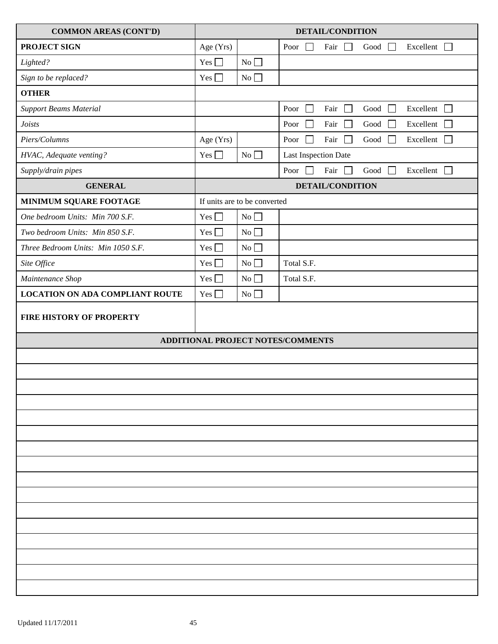| <b>COMMON AREAS (CONT'D)</b>           | <b>DETAIL/CONDITION</b> |                              |                                                                                                                   |
|----------------------------------------|-------------------------|------------------------------|-------------------------------------------------------------------------------------------------------------------|
| <b>PROJECT SIGN</b>                    | Age (Yrs)               |                              | Excellent $\Box$<br>Poor<br>Fair<br>$\mathsf{L}$<br>Good<br>$\perp$<br>$\overline{\phantom{0}}$                   |
| Lighted?                               | Yes $\Box$              | No                           |                                                                                                                   |
| Sign to be replaced?                   | Yes $\Box$              | No                           |                                                                                                                   |
| <b>OTHER</b>                           |                         |                              |                                                                                                                   |
| <b>Support Beams Material</b>          |                         |                              | Poor<br>Fair<br>Excellent<br>Good<br>$\perp$<br>$\overline{\phantom{a}}$                                          |
| <b>Joists</b>                          |                         |                              | Fair<br>Excellent<br>Poor<br>$\Box$<br>Good<br>$\sim$                                                             |
| Piers/Columns                          | Age (Yrs)               |                              | $\Box$<br>Fair<br>$\operatorname{Good}$<br>Excellent<br>Poor<br>$\mathcal{L}$<br>$\mathbb{R}^n$<br>$\blacksquare$ |
| HVAC, Adequate venting?                | Yes $\Box$              | No                           | Last Inspection Date                                                                                              |
| Supply/drain pipes                     |                         |                              | Poor<br>Fair<br>Excellent $\Box$<br><b>I</b> T<br>Good<br>$\mathcal{L}$                                           |
| <b>GENERAL</b>                         |                         |                              | <b>DETAIL/CONDITION</b>                                                                                           |
| <b>MINIMUM SQUARE FOOTAGE</b>          |                         | If units are to be converted |                                                                                                                   |
| One bedroom Units: Min 700 S.F.        | Yes $\Box$              | No $\hfill\Box$              |                                                                                                                   |
| Two bedroom Units: Min 850 S.F.        | $Yes \Box$              | No                           |                                                                                                                   |
| Three Bedroom Units: Min 1050 S.F.     | Yes $\Box$              | No                           |                                                                                                                   |
| Site Office                            | Yes $\Box$              | No                           | Total S.F.                                                                                                        |
| Maintenance Shop                       | $Yes \Box$              | No                           | Total S.F.                                                                                                        |
| <b>LOCATION ON ADA COMPLIANT ROUTE</b> | Yes $\Box$              | No                           |                                                                                                                   |
| <b>FIRE HISTORY OF PROPERTY</b>        |                         |                              |                                                                                                                   |
|                                        |                         |                              | ADDITIONAL PROJECT NOTES/COMMENTS                                                                                 |
|                                        |                         |                              |                                                                                                                   |
|                                        |                         |                              |                                                                                                                   |
|                                        |                         |                              |                                                                                                                   |
|                                        |                         |                              |                                                                                                                   |
|                                        |                         |                              |                                                                                                                   |
|                                        |                         |                              |                                                                                                                   |
|                                        |                         |                              |                                                                                                                   |
|                                        |                         |                              |                                                                                                                   |
|                                        |                         |                              |                                                                                                                   |
|                                        |                         |                              |                                                                                                                   |
|                                        |                         |                              |                                                                                                                   |
|                                        |                         |                              |                                                                                                                   |
|                                        |                         |                              |                                                                                                                   |
|                                        |                         |                              |                                                                                                                   |
|                                        |                         |                              |                                                                                                                   |
|                                        |                         |                              |                                                                                                                   |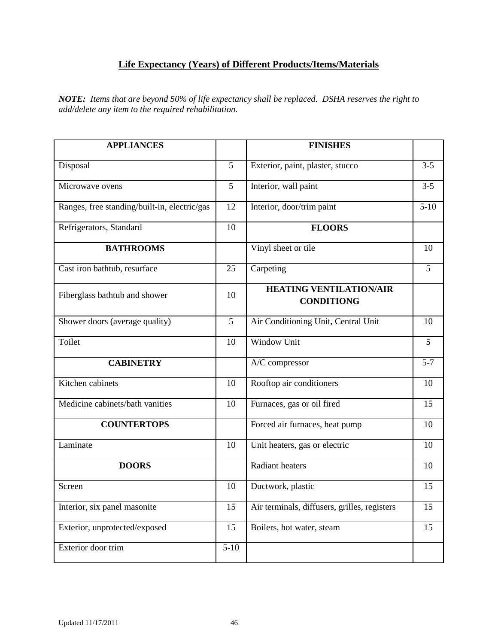# **Life Expectancy (Years) of Different Products/Items/Materials**

<span id="page-45-0"></span>*NOTE: Items that are beyond 50% of life expectancy shall be replaced. DSHA reserves the right to add/delete any item to the required rehabilitation.*

| <b>APPLIANCES</b>                            |                 | <b>FINISHES</b>                                     |                  |
|----------------------------------------------|-----------------|-----------------------------------------------------|------------------|
| Disposal                                     | 5               | Exterior, paint, plaster, stucco                    | $3-5$            |
| Microwave ovens                              | 5               | Interior, wall paint                                | $3 - 5$          |
| Ranges, free standing/built-in, electric/gas | 12              | Interior, door/trim paint                           | $5-10$           |
| Refrigerators, Standard                      | $\overline{10}$ | <b>FLOORS</b>                                       |                  |
| <b>BATHROOMS</b>                             |                 | Vinyl sheet or tile                                 | 10               |
| Cast iron bathtub, resurface                 | 25              | Carpeting                                           | 5                |
| Fiberglass bathtub and shower                | 10              | <b>HEATING VENTILATION/AIR</b><br><b>CONDITIONG</b> |                  |
| Shower doors (average quality)               | 5               | Air Conditioning Unit, Central Unit                 | 10               |
| Toilet                                       | 10              | <b>Window Unit</b>                                  | 5                |
| <b>CABINETRY</b>                             |                 | A/C compressor                                      | $\overline{5-7}$ |
| Kitchen cabinets                             | 10              | Rooftop air conditioners                            | 10               |
| Medicine cabinets/bath vanities              | 10              | Furnaces, gas or oil fired                          | 15               |
| <b>COUNTERTOPS</b>                           |                 | Forced air furnaces, heat pump                      | 10               |
| Laminate                                     | 10              | Unit heaters, gas or electric                       | 10               |
| <b>DOORS</b>                                 |                 | <b>Radiant heaters</b>                              | 10               |
| Screen                                       | 10              | Ductwork, plastic                                   | 15               |
| Interior, six panel masonite                 | 15              | Air terminals, diffusers, grilles, registers        | 15               |
| Exterior, unprotected/exposed                | 15              | Boilers, hot water, steam                           | 15               |
| Exterior door trim                           | $5 - 10$        |                                                     |                  |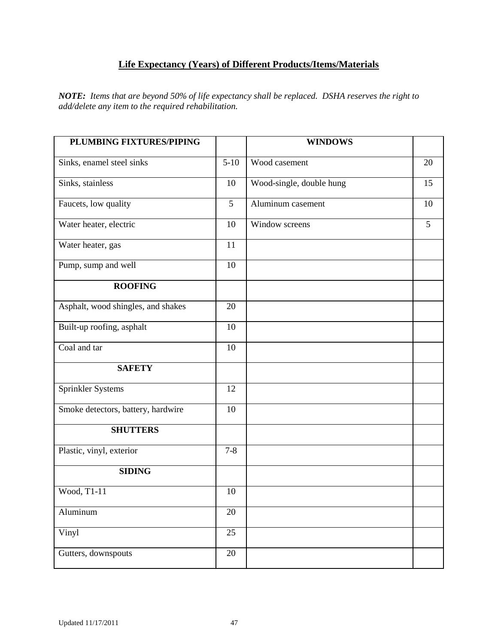# **Life Expectancy (Years) of Different Products/Items/Materials**

*NOTE: Items that are beyond 50% of life expectancy shall be replaced. DSHA reserves the right to add/delete any item to the required rehabilitation.*

| PLUMBING FIXTURES/PIPING           |         | <b>WINDOWS</b>           |    |
|------------------------------------|---------|--------------------------|----|
| Sinks, enamel steel sinks          | $5-10$  | Wood casement            | 20 |
| Sinks, stainless                   | 10      | Wood-single, double hung | 15 |
|                                    | 5       | Aluminum casement        | 10 |
| Faucets, low quality               |         |                          |    |
| Water heater, electric             | 10      | Window screens           | 5  |
| Water heater, gas                  | 11      |                          |    |
| Pump, sump and well                | 10      |                          |    |
| <b>ROOFING</b>                     |         |                          |    |
| Asphalt, wood shingles, and shakes | 20      |                          |    |
| Built-up roofing, asphalt          | 10      |                          |    |
| Coal and tar                       | 10      |                          |    |
| <b>SAFETY</b>                      |         |                          |    |
| Sprinkler Systems                  | 12      |                          |    |
| Smoke detectors, battery, hardwire | 10      |                          |    |
| <b>SHUTTERS</b>                    |         |                          |    |
| Plastic, vinyl, exterior           | $7 - 8$ |                          |    |
| <b>SIDING</b>                      |         |                          |    |
| Wood, T1-11                        | 10      |                          |    |
| Aluminum                           | 20      |                          |    |
| Vinyl                              | 25      |                          |    |
| Gutters, downspouts                | 20      |                          |    |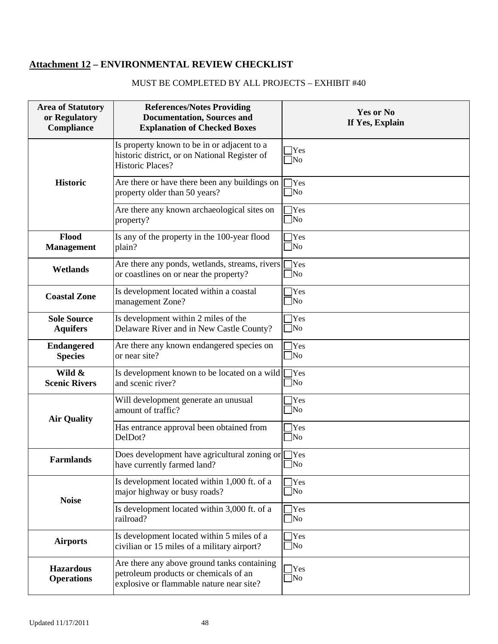# <span id="page-47-0"></span>**Attachment 12 – ENVIRONMENTAL REVIEW CHECKLIST**

# MUST BE COMPLETED BY ALL PROJECTS – EXHIBIT #40

| <b>Area of Statutory</b><br>or Regulatory<br>Compliance | <b>References/Notes Providing</b><br><b>Documentation, Sources and</b><br><b>Explanation of Checked Boxes</b>                    | <b>Yes or No</b><br>If Yes, Explain |
|---------------------------------------------------------|----------------------------------------------------------------------------------------------------------------------------------|-------------------------------------|
|                                                         | Is property known to be in or adjacent to a<br>historic district, or on National Register of<br><b>Historic Places?</b>          | Yes<br> No                          |
| <b>Historic</b>                                         | Are there or have there been any buildings on<br>property older than 50 years?                                                   | $]$ Yes<br>]No                      |
|                                                         | Are there any known archaeological sites on<br>property?                                                                         | [Yes<br>$\sqrt{\text{No}}$          |
| Flood<br><b>Management</b>                              | Is any of the property in the 100-year flood<br>plain?                                                                           | Yes]<br>]No                         |
| Wetlands                                                | Are there any ponds, wetlands, streams, rivers [<br>or coastlines on or near the property?                                       | $\bigcap$ Yes<br>$\sqrt{\text{No}}$ |
| <b>Coastal Zone</b>                                     | Is development located within a coastal<br>management Zone?                                                                      | Yes]<br>$\sqrt{\text{No}}$          |
| <b>Sole Source</b><br><b>Aquifers</b>                   | Is development within 2 miles of the<br>Delaware River and in New Castle County?                                                 | <b>Yes</b><br>$\Box$ No             |
| <b>Endangered</b><br><b>Species</b>                     | Are there any known endangered species on<br>or near site?                                                                       | $]$ Yes<br>$\Box$ No                |
| Wild &<br><b>Scenic Rivers</b>                          | Is development known to be located on a wild $\Box$ Yes<br>and scenic river?                                                     | $\sqrt{\text{No}}$                  |
| <b>Air Quality</b>                                      | Will development generate an unusual<br>amount of traffic?                                                                       | Yes<br>$\sqrt{\text{No}}$           |
|                                                         | Has entrance approval been obtained from<br>DelDot?                                                                              | Yes]<br>]No                         |
| <b>Farmlands</b>                                        | Does development have agricultural zoning or $\Box$ Yes<br>have currently farmed land?                                           | $\Box$ No                           |
| <b>Noise</b>                                            | Is development located within 1,000 ft. of a<br>major highway or busy roads?                                                     | $\gamma$<br>$\Box$ No               |
|                                                         | Is development located within 3,000 ft. of a<br>railroad?                                                                        | $]$ Yes<br>$\Box$ No                |
| <b>Airports</b>                                         | Is development located within 5 miles of a<br>civilian or 15 miles of a military airport?                                        | Tes<br>$\Box$ No                    |
| <b>Hazardous</b><br><b>Operations</b>                   | Are there any above ground tanks containing<br>petroleum products or chemicals of an<br>explosive or flammable nature near site? | Yes<br>$\sqrt{\text{No}}$           |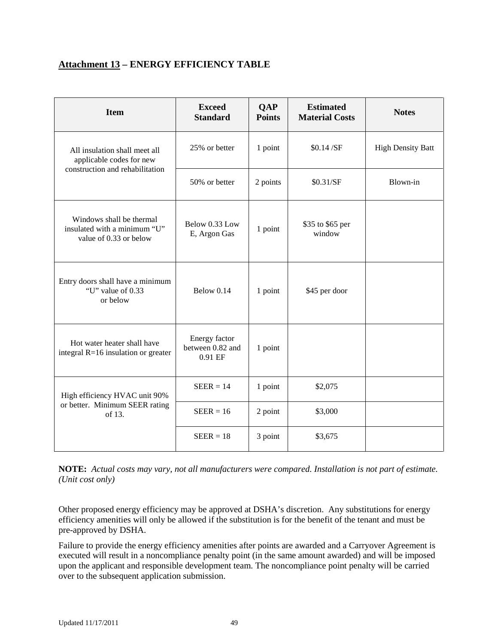# <span id="page-48-0"></span>**Attachment 13 – ENERGY EFFICIENCY TABLE**

| <b>Item</b>                                                                        | <b>Exceed</b><br><b>Standard</b>             | <b>QAP</b><br><b>Points</b> | <b>Estimated</b><br><b>Material Costs</b> | <b>Notes</b>             |
|------------------------------------------------------------------------------------|----------------------------------------------|-----------------------------|-------------------------------------------|--------------------------|
| All insulation shall meet all<br>applicable codes for new                          | 25% or better                                | 1 point                     | \$0.14/SF                                 | <b>High Density Batt</b> |
| construction and rehabilitation                                                    | 50% or better                                | 2 points                    | \$0.31/SF                                 | Blown-in                 |
| Windows shall be thermal<br>insulated with a minimum "U"<br>value of 0.33 or below | Below 0.33 Low<br>E, Argon Gas               | 1 point                     | \$35 to \$65 per<br>window                |                          |
| Entry doors shall have a minimum<br>"U" value of $0.33$<br>or below                | Below 0.14                                   | 1 point                     | \$45 per door                             |                          |
| Hot water heater shall have<br>integral $R=16$ insulation or greater               | Energy factor<br>between 0.82 and<br>0.91 EF | 1 point                     |                                           |                          |
| High efficiency HVAC unit 90%                                                      | $SEER = 14$                                  | 1 point                     | \$2,075                                   |                          |
| or better. Minimum SEER rating<br>of 13.                                           | $SEER = 16$                                  | 2 point                     | \$3,000                                   |                          |
|                                                                                    | $SEER = 18$                                  | 3 point                     | \$3,675                                   |                          |

**NOTE:** *Actual costs may vary, not all manufacturers were compared. Installation is not part of estimate. (Unit cost only)*

Other proposed energy efficiency may be approved at DSHA's discretion. Any substitutions for energy efficiency amenities will only be allowed if the substitution is for the benefit of the tenant and must be pre-approved by DSHA.

Failure to provide the energy efficiency amenities after points are awarded and a Carryover Agreement is executed will result in a noncompliance penalty point (in the same amount awarded) and will be imposed upon the applicant and responsible development team. The noncompliance point penalty will be carried over to the subsequent application submission.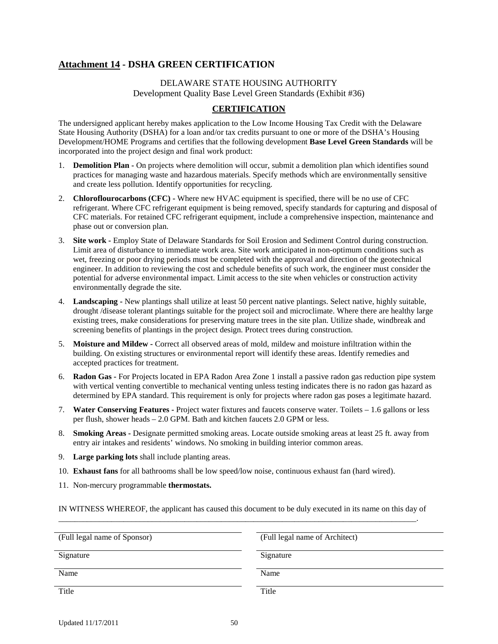# <span id="page-49-0"></span>**Attachment 14 - DSHA GREEN CERTIFICATION**

### DELAWARE STATE HOUSING AUTHORITY Development Quality Base Level Green Standards (Exhibit #36)

# **CERTIFICATION**

The undersigned applicant hereby makes application to the Low Income Housing Tax Credit with the Delaware State Housing Authority (DSHA) for a loan and/or tax credits pursuant to one or more of the DSHA's Housing Development/HOME Programs and certifies that the following development **Base Level Green Standards** will be incorporated into the project design and final work product:

- 1. **Demolition Plan -** On projects where demolition will occur, submit a demolition plan which identifies sound practices for managing waste and hazardous materials. Specify methods which are environmentally sensitive and create less pollution. Identify opportunities for recycling.
- 2. **Chloroflourocarbons (CFC) -** Where new HVAC equipment is specified, there will be no use of CFC refrigerant. Where CFC refrigerant equipment is being removed, specify standards for capturing and disposal of CFC materials. For retained CFC refrigerant equipment, include a comprehensive inspection, maintenance and phase out or conversion plan.
- 3. **Site work -** Employ State of Delaware Standards for Soil Erosion and Sediment Control during construction. Limit area of disturbance to immediate work area. Site work anticipated in non-optimum conditions such as wet, freezing or poor drying periods must be completed with the approval and direction of the geotechnical engineer. In addition to reviewing the cost and schedule benefits of such work, the engineer must consider the potential for adverse environmental impact. Limit access to the site when vehicles or construction activity environmentally degrade the site.
- 4. **Landscaping -** New plantings shall utilize at least 50 percent native plantings. Select native, highly suitable, drought /disease tolerant plantings suitable for the project soil and microclimate. Where there are healthy large existing trees, make considerations for preserving mature trees in the site plan. Utilize shade, windbreak and screening benefits of plantings in the project design. Protect trees during construction.
- 5. **Moisture and Mildew -** Correct all observed areas of mold, mildew and moisture infiltration within the building. On existing structures or environmental report will identify these areas. Identify remedies and accepted practices for treatment.
- 6. **Radon Gas -** For Projects located in EPA Radon Area Zone 1 install a passive radon gas reduction pipe system with vertical venting convertible to mechanical venting unless testing indicates there is no radon gas hazard as determined by EPA standard. This requirement is only for projects where radon gas poses a legitimate hazard.
- 7. **Water Conserving Features -** Project water fixtures and faucets conserve water. Toilets 1.6 gallons or less per flush, shower heads – 2.0 GPM. Bath and kitchen faucets 2.0 GPM or less.
- 8. **Smoking Areas -** Designate permitted smoking areas. Locate outside smoking areas at least 25 ft. away from entry air intakes and residents' windows. No smoking in building interior common areas.
- 9. **Large parking lots** shall include planting areas.
- 10. **Exhaust fans** for all bathrooms shall be low speed/low noise, continuous exhaust fan (hard wired).
- 11. Non-mercury programmable **thermostats.**

IN WITNESS WHEREOF, the applicant has caused this document to be duly executed in its name on this day of \_\_\_\_\_\_\_\_\_\_\_\_\_\_\_\_\_\_\_\_\_\_\_\_\_\_\_\_\_\_\_\_\_\_\_\_\_\_\_\_\_\_\_\_\_\_\_\_\_\_\_\_\_\_\_\_\_\_\_\_\_\_\_\_\_\_\_\_\_\_\_\_\_\_\_\_\_\_\_\_\_\_\_\_\_\_\_\_.

| (Full legal name of Sponsor) | (Full legal name of Architect) |
|------------------------------|--------------------------------|
| Signature                    | Signature                      |
| Name                         | Name                           |
| Title                        | Title                          |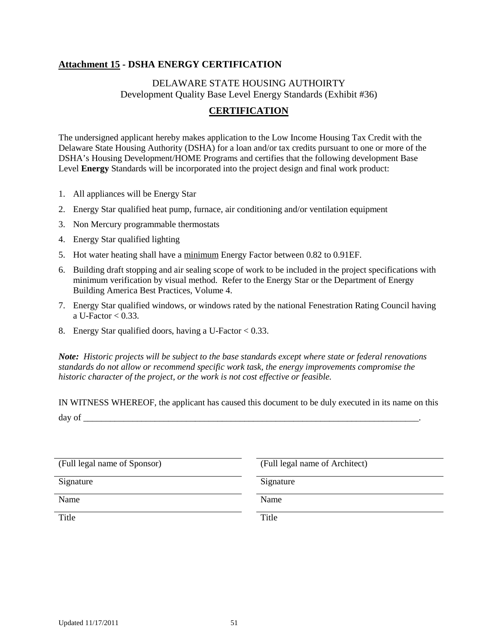# <span id="page-50-0"></span>**Attachment 15 - DSHA ENERGY CERTIFICATION**

# DELAWARE STATE HOUSING AUTHOIRTY Development Quality Base Level Energy Standards (Exhibit #36)

# **CERTIFICATION**

The undersigned applicant hereby makes application to the Low Income Housing Tax Credit with the Delaware State Housing Authority (DSHA) for a loan and/or tax credits pursuant to one or more of the DSHA's Housing Development/HOME Programs and certifies that the following development Base Level **Energy** Standards will be incorporated into the project design and final work product:

- 1. All appliances will be Energy Star
- 2. Energy Star qualified heat pump, furnace, air conditioning and/or ventilation equipment
- 3. Non Mercury programmable thermostats
- 4. Energy Star qualified lighting
- 5. Hot water heating shall have a minimum Energy Factor between 0.82 to 0.91EF.
- 6. Building draft stopping and air sealing scope of work to be included in the project specifications with minimum verification by visual method. Refer to the Energy Star or the Department of Energy Building America Best Practices, Volume 4.
- 7. Energy Star qualified windows, or windows rated by the national Fenestration Rating Council having a U-Factor  $< 0.33$ .
- 8. Energy Star qualified doors, having a U-Factor < 0.33.

*Note: Historic projects will be subject to the base standards except where state or federal renovations standards do not allow or recommend specific work task, the energy improvements compromise the historic character of the project, or the work is not cost effective or feasible.*

IN WITNESS WHEREOF, the applicant has caused this document to be duly executed in its name on this day of  $\frac{$ 

| (Full legal name of Sponsor) | (Full legal name of Architect) |
|------------------------------|--------------------------------|
| Signature                    | Signature                      |
| Name                         | Name                           |
| Title                        | Title                          |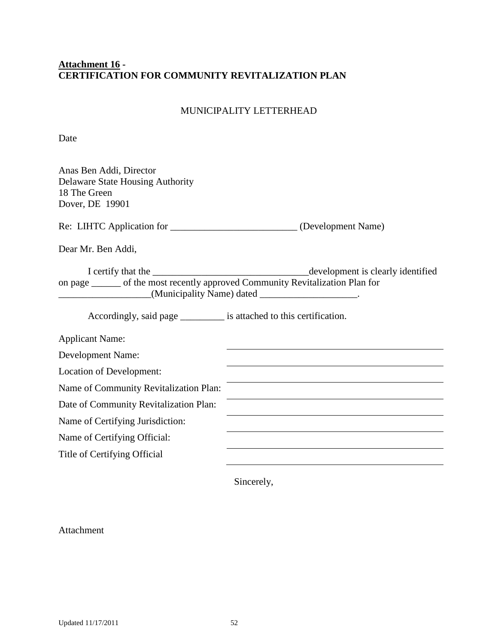# <span id="page-51-0"></span>**Attachment 16 - CERTIFICATION FOR COMMUNITY REVITALIZATION PLAN**

# MUNICIPALITY LETTERHEAD

Date

| Anas Ben Addi, Director<br><b>Delaware State Housing Authority</b><br>18 The Green<br>Dover, DE 19901 |                                                                                                                      |
|-------------------------------------------------------------------------------------------------------|----------------------------------------------------------------------------------------------------------------------|
| Re: LIHTC Application for ______________________________(Development Name)                            |                                                                                                                      |
| Dear Mr. Ben Addi,                                                                                    |                                                                                                                      |
| I certify that the<br>on page ______ of the most recently approved Community Revitalization Plan for  | development is clearly identified<br>(Municipality Name) dated _____________________.                                |
| Accordingly, said page __________ is attached to this certification.                                  |                                                                                                                      |
| <b>Applicant Name:</b>                                                                                |                                                                                                                      |
| <b>Development Name:</b>                                                                              |                                                                                                                      |
| Location of Development:                                                                              | <u> 1989 - Johann Stein, marwolaethau a bhann an t-Amhair an t-Amhair an t-Amhair an t-Amhair an t-Amhair an t-A</u> |
| Name of Community Revitalization Plan:                                                                |                                                                                                                      |
| Date of Community Revitalization Plan:                                                                |                                                                                                                      |
| Name of Certifying Jurisdiction:                                                                      |                                                                                                                      |
| Name of Certifying Official:                                                                          |                                                                                                                      |
| Title of Certifying Official                                                                          |                                                                                                                      |

Sincerely,

Attachment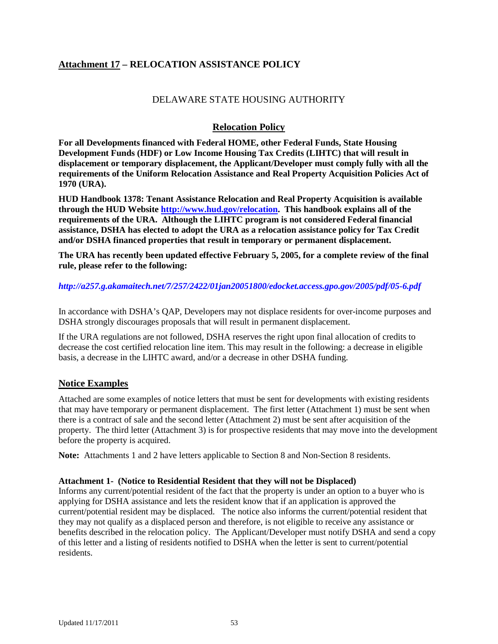# <span id="page-52-0"></span>**Attachment 17 – RELOCATION ASSISTANCE POLICY**

# DELAWARE STATE HOUSING AUTHORITY

# **Relocation Policy**

**For all Developments financed with Federal HOME, other Federal Funds, State Housing Development Funds (HDF) or Low Income Housing Tax Credits (LIHTC) that will result in displacement or temporary displacement, the Applicant/Developer must comply fully with all the requirements of the Uniform Relocation Assistance and Real Property Acquisition Policies Act of 1970 (URA).** 

**HUD Handbook 1378: Tenant Assistance Relocation and Real Property Acquisition is available through the HUD Website [http://www.hud.gov/relocation.](http://www.hud.gov/relocation) This handbook explains all of the requirements of the URA. Although the LIHTC program is not considered Federal financial assistance, DSHA has elected to adopt the URA as a relocation assistance policy for Tax Credit and/or DSHA financed properties that result in temporary or permanent displacement.** 

**The URA has recently been updated effective February 5, 2005, for a complete review of the final rule, please refer to the following:** 

#### *<http://a257.g.akamaitech.net/7/257/2422/01jan20051800/edocket.access.gpo.gov/2005/pdf/05-6.pdf>*

In accordance with DSHA's QAP, Developers may not displace residents for over-income purposes and DSHA strongly discourages proposals that will result in permanent displacement.

If the URA regulations are not followed, DSHA reserves the right upon final allocation of credits to decrease the cost certified relocation line item. This may result in the following: a decrease in eligible basis, a decrease in the LIHTC award, and/or a decrease in other DSHA funding.

#### <span id="page-52-1"></span>**Notice Examples**

Attached are some examples of notice letters that must be sent for developments with existing residents that may have temporary or permanent displacement. The first letter (Attachment 1) must be sent when there is a contract of sale and the second letter (Attachment 2) must be sent after acquisition of the property. The third letter (Attachment 3) is for prospective residents that may move into the development before the property is acquired.

**Note:** Attachments 1 and 2 have letters applicable to Section 8 and Non-Section 8 residents.

#### **Attachment 1- (Notice to Residential Resident that they will not be Displaced)**

Informs any current/potential resident of the fact that the property is under an option to a buyer who is applying for DSHA assistance and lets the resident know that if an application is approved the current/potential resident may be displaced. The notice also informs the current/potential resident that they may not qualify as a displaced person and therefore, is not eligible to receive any assistance or benefits described in the relocation policy. The Applicant/Developer must notify DSHA and send a copy of this letter and a listing of residents notified to DSHA when the letter is sent to current/potential residents.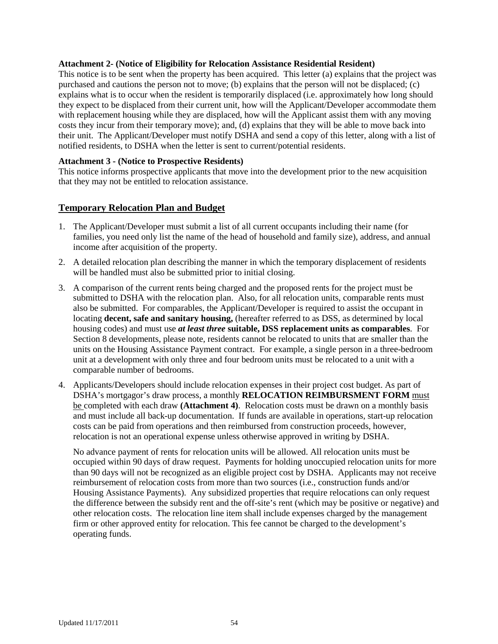#### **Attachment 2- (Notice of Eligibility for Relocation Assistance Residential Resident)**

This notice is to be sent when the property has been acquired. This letter (a) explains that the project was purchased and cautions the person not to move; (b) explains that the person will not be displaced; (c) explains what is to occur when the resident is temporarily displaced (i.e. approximately how long should they expect to be displaced from their current unit, how will the Applicant/Developer accommodate them with replacement housing while they are displaced, how will the Applicant assist them with any moving costs they incur from their temporary move); and, (d) explains that they will be able to move back into their unit. The Applicant/Developer must notify DSHA and send a copy of this letter, along with a list of notified residents, to DSHA when the letter is sent to current/potential residents.

#### **Attachment 3 - (Notice to Prospective Residents)**

This notice informs prospective applicants that move into the development prior to the new acquisition that they may not be entitled to relocation assistance.

# <span id="page-53-0"></span>**Temporary Relocation Plan and Budget**

- 1. The Applicant/Developer must submit a list of all current occupants including their name (for families, you need only list the name of the head of household and family size), address, and annual income after acquisition of the property.
- 2. A detailed relocation plan describing the manner in which the temporary displacement of residents will be handled must also be submitted prior to initial closing.
- 3. A comparison of the current rents being charged and the proposed rents for the project must be submitted to DSHA with the relocation plan. Also, for all relocation units, comparable rents must also be submitted. For comparables, the Applicant/Developer is required to assist the occupant in locating **decent, safe and sanitary housing,** (hereafter referred to as DSS, as determined by local housing codes) and must use *at least three* **suitable, DSS replacement units as comparables**. For Section 8 developments, please note, residents cannot be relocated to units that are smaller than the units on the Housing Assistance Payment contract. For example, a single person in a three-bedroom unit at a development with only three and four bedroom units must be relocated to a unit with a comparable number of bedrooms.
- 4. Applicants/Developers should include relocation expenses in their project cost budget. As part of DSHA's mortgagor's draw process, a monthly **RELOCATION REIMBURSMENT FORM** must be completed with each draw **(Attachment 4)**. Relocation costs must be drawn on a monthly basis and must include all back-up documentation. If funds are available in operations, start-up relocation costs can be paid from operations and then reimbursed from construction proceeds, however, relocation is not an operational expense unless otherwise approved in writing by DSHA.

No advance payment of rents for relocation units will be allowed. All relocation units must be occupied within 90 days of draw request. Payments for holding unoccupied relocation units for more than 90 days will not be recognized as an eligible project cost by DSHA. Applicants may not receive reimbursement of relocation costs from more than two sources (i.e., construction funds and/or Housing Assistance Payments). Any subsidized properties that require relocations can only request the difference between the subsidy rent and the off-site's rent (which may be positive or negative) and other relocation costs. The relocation line item shall include expenses charged by the management firm or other approved entity for relocation. This fee cannot be charged to the development's operating funds.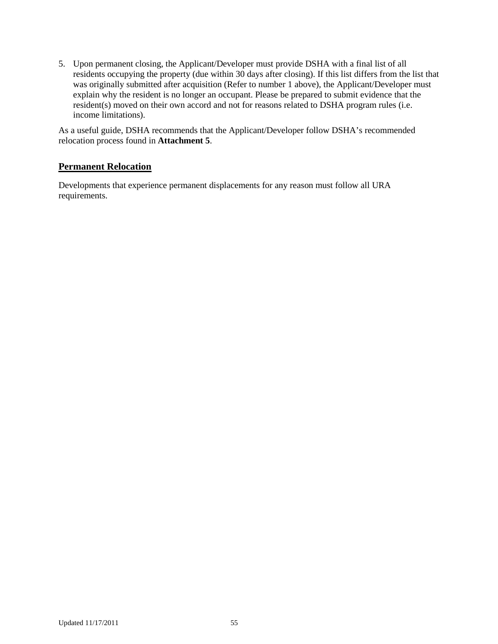5. Upon permanent closing, the Applicant/Developer must provide DSHA with a final list of all residents occupying the property (due within 30 days after closing). If this list differs from the list that was originally submitted after acquisition (Refer to number 1 above), the Applicant/Developer must explain why the resident is no longer an occupant. Please be prepared to submit evidence that the resident(s) moved on their own accord and not for reasons related to DSHA program rules (i.e. income limitations).

As a useful guide, DSHA recommends that the Applicant/Developer follow DSHA's recommended relocation process found in **Attachment 5**.

# <span id="page-54-0"></span>**Permanent Relocation**

Developments that experience permanent displacements for any reason must follow all URA requirements.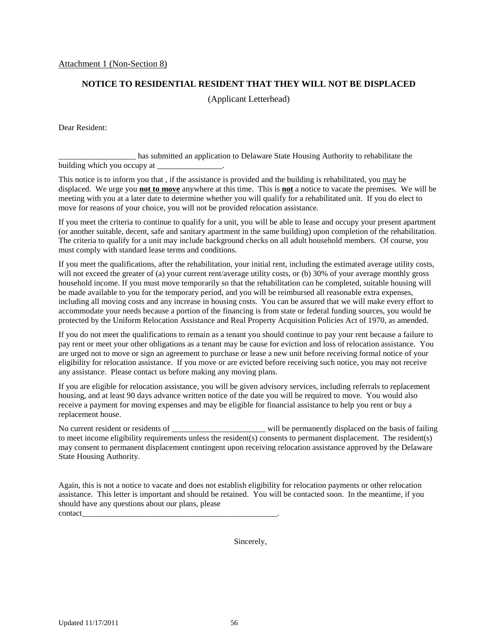#### **NOTICE TO RESIDENTIAL RESIDENT THAT THEY WILL NOT BE DISPLACED**

(Applicant Letterhead)

Dear Resident:

\_\_\_\_\_\_\_\_\_\_\_\_\_\_\_\_\_\_\_ has submitted an application to Delaware State Housing Authority to rehabilitate the building which you occupy at \_\_\_\_\_\_\_\_\_\_\_\_\_\_\_\_.

This notice is to inform you that , if the assistance is provided and the building is rehabilitated, you may be displaced. We urge you **not to move** anywhere at this time. This is **not** a notice to vacate the premises. We will be meeting with you at a later date to determine whether you will qualify for a rehabilitated unit. If you do elect to move for reasons of your choice, you will not be provided relocation assistance.

If you meet the criteria to continue to qualify for a unit, you will be able to lease and occupy your present apartment (or another suitable, decent, safe and sanitary apartment in the same building) upon completion of the rehabilitation. The criteria to qualify for a unit may include background checks on all adult household members. Of course, you must comply with standard lease terms and conditions.

If you meet the qualifications, after the rehabilitation, your initial rent, including the estimated average utility costs, will not exceed the greater of (a) your current rent/average utility costs, or (b) 30% of your average monthly gross household income. If you must move temporarily so that the rehabilitation can be completed, suitable housing will be made available to you for the temporary period, and you will be reimbursed all reasonable extra expenses, including all moving costs and any increase in housing costs. You can be assured that we will make every effort to accommodate your needs because a portion of the financing is from state or federal funding sources, you would be protected by the Uniform Relocation Assistance and Real Property Acquisition Policies Act of 1970, as amended.

If you do not meet the qualifications to remain as a tenant you should continue to pay your rent because a failure to pay rent or meet your other obligations as a tenant may be cause for eviction and loss of relocation assistance. You are urged not to move or sign an agreement to purchase or lease a new unit before receiving formal notice of your eligibility for relocation assistance. If you move or are evicted before receiving such notice, you may not receive any assistance. Please contact us before making any moving plans.

If you are eligible for relocation assistance, you will be given advisory services, including referrals to replacement housing, and at least 90 days advance written notice of the date you will be required to move. You would also receive a payment for moving expenses and may be eligible for financial assistance to help you rent or buy a replacement house.

No current resident or residents of \_\_\_\_\_\_\_\_\_\_\_\_\_\_\_\_\_\_\_\_\_\_\_ will be permanently displaced on the basis of failing to meet income eligibility requirements unless the resident(s) consents to permanent displacement. The resident(s) may consent to permanent displacement contingent upon receiving relocation assistance approved by the Delaware State Housing Authority.

Again, this is not a notice to vacate and does not establish eligibility for relocation payments or other relocation assistance. This letter is important and should be retained. You will be contacted soon. In the meantime, if you should have any questions about our plans, please contact\_\_\_\_\_\_\_\_\_\_\_\_\_\_\_\_\_\_\_\_\_\_\_\_\_\_\_\_\_\_\_\_\_\_\_\_\_\_\_\_\_\_\_\_\_\_\_\_.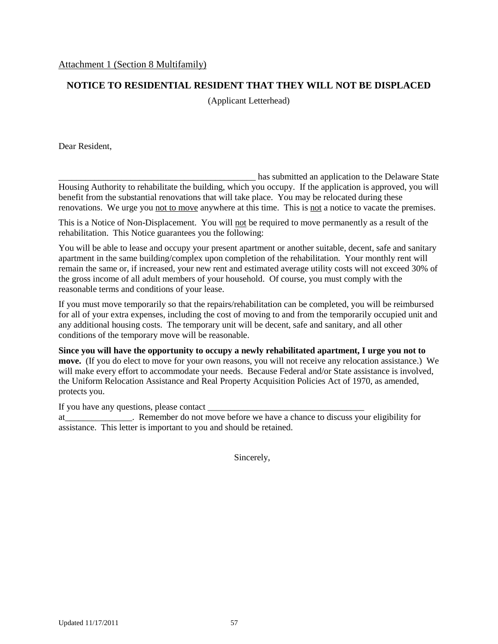# **NOTICE TO RESIDENTIAL RESIDENT THAT THEY WILL NOT BE DISPLACED**

(Applicant Letterhead)

Dear Resident,

has submitted an application to the Delaware State Housing Authority to rehabilitate the building, which you occupy. If the application is approved, you will benefit from the substantial renovations that will take place. You may be relocated during these renovations. We urge you not to move anywhere at this time. This is not a notice to vacate the premises.

This is a Notice of Non-Displacement. You will not be required to move permanently as a result of the rehabilitation. This Notice guarantees you the following:

You will be able to lease and occupy your present apartment or another suitable, decent, safe and sanitary apartment in the same building/complex upon completion of the rehabilitation. Your monthly rent will remain the same or, if increased, your new rent and estimated average utility costs will not exceed 30% of the gross income of all adult members of your household. Of course, you must comply with the reasonable terms and conditions of your lease.

If you must move temporarily so that the repairs/rehabilitation can be completed, you will be reimbursed for all of your extra expenses, including the cost of moving to and from the temporarily occupied unit and any additional housing costs. The temporary unit will be decent, safe and sanitary, and all other conditions of the temporary move will be reasonable.

**Since you will have the opportunity to occupy a newly rehabilitated apartment, I urge you not to move.** (If you do elect to move for your own reasons, you will not receive any relocation assistance.) We will make every effort to accommodate your needs. Because Federal and/or State assistance is involved, the Uniform Relocation Assistance and Real Property Acquisition Policies Act of 1970, as amended, protects you.

If you have any questions, please contact  $\equiv$ 

at\_\_\_\_\_\_\_\_\_\_\_\_\_\_\_. Remember do not move before we have a chance to discuss your eligibility for assistance. This letter is important to you and should be retained.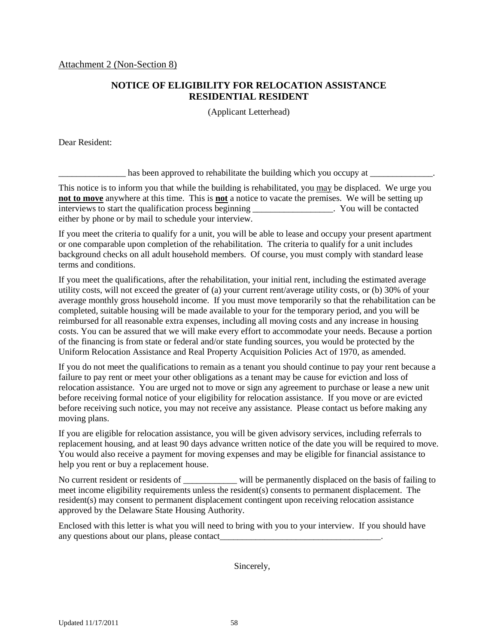# **NOTICE OF ELIGIBILITY FOR RELOCATION ASSISTANCE RESIDENTIAL RESIDENT**

(Applicant Letterhead)

Dear Resident:

 $\Box$  has been approved to rehabilitate the building which you occupy at  $\Box$ 

This notice is to inform you that while the building is rehabilitated, you may be displaced. We urge you **not to move** anywhere at this time. This is **not** a notice to vacate the premises. We will be setting up interviews to start the qualification process beginning \_\_\_\_\_\_\_\_\_\_\_\_\_\_\_\_\_\_. You will be contacted either by phone or by mail to schedule your interview.

If you meet the criteria to qualify for a unit, you will be able to lease and occupy your present apartment or one comparable upon completion of the rehabilitation. The criteria to qualify for a unit includes background checks on all adult household members. Of course, you must comply with standard lease terms and conditions.

If you meet the qualifications, after the rehabilitation, your initial rent, including the estimated average utility costs, will not exceed the greater of (a) your current rent/average utility costs, or (b) 30% of your average monthly gross household income. If you must move temporarily so that the rehabilitation can be completed, suitable housing will be made available to your for the temporary period, and you will be reimbursed for all reasonable extra expenses, including all moving costs and any increase in housing costs. You can be assured that we will make every effort to accommodate your needs. Because a portion of the financing is from state or federal and/or state funding sources, you would be protected by the Uniform Relocation Assistance and Real Property Acquisition Policies Act of 1970, as amended.

If you do not meet the qualifications to remain as a tenant you should continue to pay your rent because a failure to pay rent or meet your other obligations as a tenant may be cause for eviction and loss of relocation assistance. You are urged not to move or sign any agreement to purchase or lease a new unit before receiving formal notice of your eligibility for relocation assistance. If you move or are evicted before receiving such notice, you may not receive any assistance. Please contact us before making any moving plans.

If you are eligible for relocation assistance, you will be given advisory services, including referrals to replacement housing, and at least 90 days advance written notice of the date you will be required to move. You would also receive a payment for moving expenses and may be eligible for financial assistance to help you rent or buy a replacement house.

No current resident or residents of \_\_\_\_\_\_\_\_\_\_\_\_\_ will be permanently displaced on the basis of failing to meet income eligibility requirements unless the resident(s) consents to permanent displacement. The resident(s) may consent to permanent displacement contingent upon receiving relocation assistance approved by the Delaware State Housing Authority.

Enclosed with this letter is what you will need to bring with you to your interview. If you should have any questions about our plans, please contact\_\_\_\_\_\_\_\_\_\_\_\_\_\_\_\_\_\_\_\_\_\_\_\_\_\_\_\_\_\_\_\_\_\_\_\_.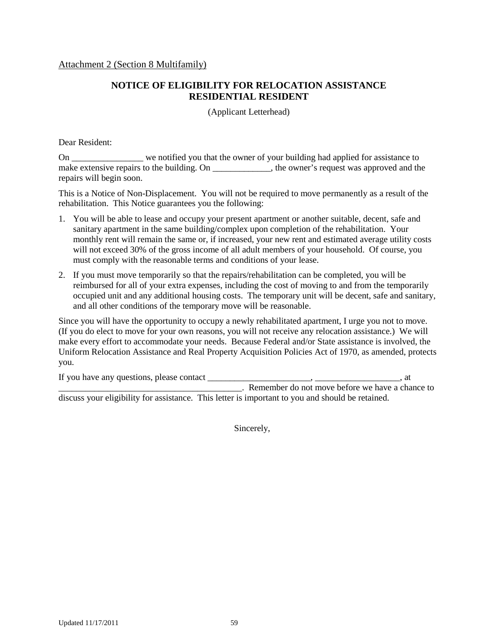Attachment 2 (Section 8 Multifamily)

# **NOTICE OF ELIGIBILITY FOR RELOCATION ASSISTANCE RESIDENTIAL RESIDENT**

(Applicant Letterhead)

Dear Resident:

On \_\_\_\_\_\_\_\_\_\_\_\_\_\_\_\_ we notified you that the owner of your building had applied for assistance to make extensive repairs to the building. On \_\_\_\_\_\_\_\_\_\_\_\_, the owner's request was approved and the repairs will begin soon.

This is a Notice of Non-Displacement. You will not be required to move permanently as a result of the rehabilitation. This Notice guarantees you the following:

- 1. You will be able to lease and occupy your present apartment or another suitable, decent, safe and sanitary apartment in the same building/complex upon completion of the rehabilitation. Your monthly rent will remain the same or, if increased, your new rent and estimated average utility costs will not exceed 30% of the gross income of all adult members of your household. Of course, you must comply with the reasonable terms and conditions of your lease.
- 2. If you must move temporarily so that the repairs/rehabilitation can be completed, you will be reimbursed for all of your extra expenses, including the cost of moving to and from the temporarily occupied unit and any additional housing costs. The temporary unit will be decent, safe and sanitary, and all other conditions of the temporary move will be reasonable.

Since you will have the opportunity to occupy a newly rehabilitated apartment, I urge you not to move. (If you do elect to move for your own reasons, you will not receive any relocation assistance.) We will make every effort to accommodate your needs. Because Federal and/or State assistance is involved, the Uniform Relocation Assistance and Real Property Acquisition Policies Act of 1970, as amended, protects you.

| If you have any questions, please contact                                                        | at                                              |
|--------------------------------------------------------------------------------------------------|-------------------------------------------------|
|                                                                                                  | Remember do not move before we have a chance to |
| discuss your eligibility for assistance. This letter is important to you and should be retained. |                                                 |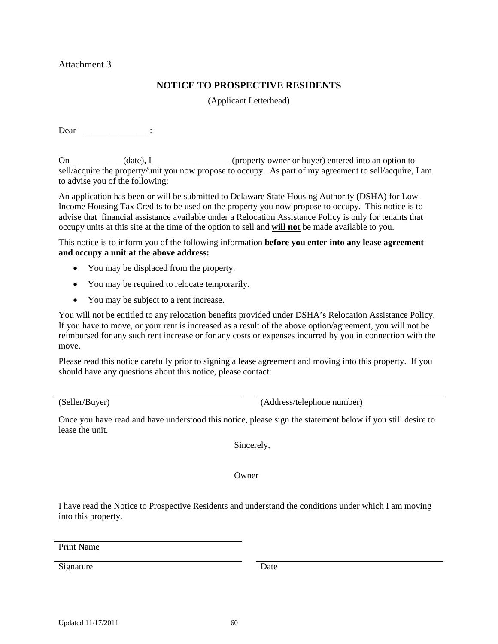#### Attachment 3

# **NOTICE TO PROSPECTIVE RESIDENTS**

(Applicant Letterhead)

Dear \_\_\_\_\_\_\_\_\_\_\_\_\_\_\_:

On \_\_\_\_\_\_\_\_\_\_ (date), I \_\_\_\_\_\_\_\_\_\_\_\_\_\_\_\_ (property owner or buyer) entered into an option to sell/acquire the property/unit you now propose to occupy. As part of my agreement to sell/acquire, I am to advise you of the following:

An application has been or will be submitted to Delaware State Housing Authority (DSHA) for Low-Income Housing Tax Credits to be used on the property you now propose to occupy. This notice is to advise that financial assistance available under a Relocation Assistance Policy is only for tenants that occupy units at this site at the time of the option to sell and **will not** be made available to you.

This notice is to inform you of the following information **before you enter into any lease agreement and occupy a unit at the above address:**

- You may be displaced from the property.
- You may be required to relocate temporarily.
- You may be subject to a rent increase.

You will not be entitled to any relocation benefits provided under DSHA's Relocation Assistance Policy. If you have to move, or your rent is increased as a result of the above option/agreement, you will not be reimbursed for any such rent increase or for any costs or expenses incurred by you in connection with the move.

Please read this notice carefully prior to signing a lease agreement and moving into this property. If you should have any questions about this notice, please contact:

(Seller/Buyer) (Address/telephone number)

Once you have read and have understood this notice, please sign the statement below if you still desire to lease the unit.

Sincerely,

Owner

I have read the Notice to Prospective Residents and understand the conditions under which I am moving into this property.

Print Name

Signature Date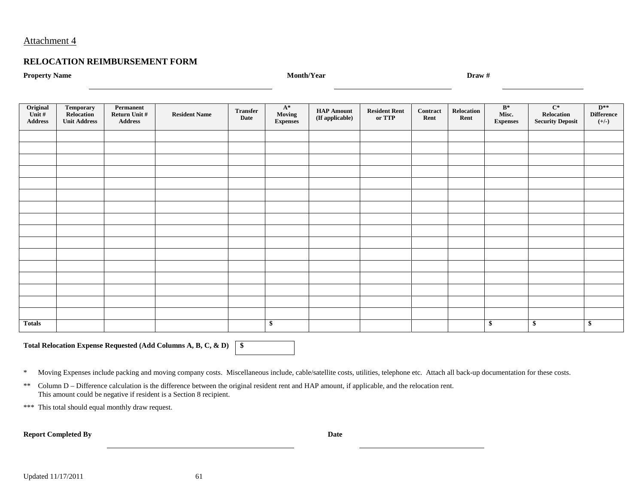### Attachment 4

#### **RELOCATION REIMBURSEMENT FORM**

**Property Name Month/Year Draw #**

| Original<br>Unit #<br>$\bf Address$ | <b>Temporary</b><br>Relocation<br><b>Unit Address</b> | Permanent<br>Return Unit $\#$<br>Address | <b>Resident Name</b> | <b>Transfer</b><br>Date | $\mathbf{A}^*$<br>Moving<br><b>Expenses</b> | <b>HAP Amount</b><br>$(\mathbf{If}\ \text{appliedble})$ | <b>Resident Rent</b><br>or TTP | Contract<br>Rent | Relocation<br>Rent | $\mathbf{B}^*$<br>Misc.<br><b>Expenses</b> | $\overline{C^*}$<br>Relocation<br><b>Security Deposit</b> | $D^{**}$<br><b>Difference</b><br>$(+/-)$ |
|-------------------------------------|-------------------------------------------------------|------------------------------------------|----------------------|-------------------------|---------------------------------------------|---------------------------------------------------------|--------------------------------|------------------|--------------------|--------------------------------------------|-----------------------------------------------------------|------------------------------------------|
|                                     |                                                       |                                          |                      |                         |                                             |                                                         |                                |                  |                    |                                            |                                                           |                                          |
|                                     |                                                       |                                          |                      |                         |                                             |                                                         |                                |                  |                    |                                            |                                                           |                                          |
|                                     |                                                       |                                          |                      |                         |                                             |                                                         |                                |                  |                    |                                            |                                                           |                                          |
|                                     |                                                       |                                          |                      |                         |                                             |                                                         |                                |                  |                    |                                            |                                                           |                                          |
|                                     |                                                       |                                          |                      |                         |                                             |                                                         |                                |                  |                    |                                            |                                                           |                                          |
|                                     |                                                       |                                          |                      |                         |                                             |                                                         |                                |                  |                    |                                            |                                                           |                                          |
|                                     |                                                       |                                          |                      |                         |                                             |                                                         |                                |                  |                    |                                            |                                                           |                                          |
|                                     |                                                       |                                          |                      |                         |                                             |                                                         |                                |                  |                    |                                            |                                                           |                                          |
|                                     |                                                       |                                          |                      |                         |                                             |                                                         |                                |                  |                    |                                            |                                                           |                                          |
|                                     |                                                       |                                          |                      |                         |                                             |                                                         |                                |                  |                    |                                            |                                                           |                                          |
|                                     |                                                       |                                          |                      |                         |                                             |                                                         |                                |                  |                    |                                            |                                                           |                                          |
|                                     |                                                       |                                          |                      |                         |                                             |                                                         |                                |                  |                    |                                            |                                                           |                                          |
|                                     |                                                       |                                          |                      |                         |                                             |                                                         |                                |                  |                    |                                            |                                                           |                                          |
|                                     |                                                       |                                          |                      |                         |                                             |                                                         |                                |                  |                    |                                            |                                                           |                                          |
|                                     |                                                       |                                          |                      |                         |                                             |                                                         |                                |                  |                    |                                            |                                                           |                                          |
|                                     |                                                       |                                          |                      |                         |                                             |                                                         |                                |                  |                    |                                            |                                                           |                                          |
| <b>Totals</b>                       |                                                       |                                          |                      |                         | \$                                          |                                                         |                                |                  |                    | \$                                         | \$                                                        | \$                                       |

**Total Relocation Expense Requested (Add Columns A, B, C, & D) \$**

\* Moving Expenses include packing and moving company costs. Miscellaneous include, cable/satellite costs, utilities, telephone etc. Attach all back-up documentation for these costs.

\*\* Column D – Difference calculation is the difference between the original resident rent and HAP amount, if applicable, and the relocation rent. This amount could be negative if resident is a Section 8 recipient.

\*\*\* This total should equal monthly draw request.

**Report Completed By Date**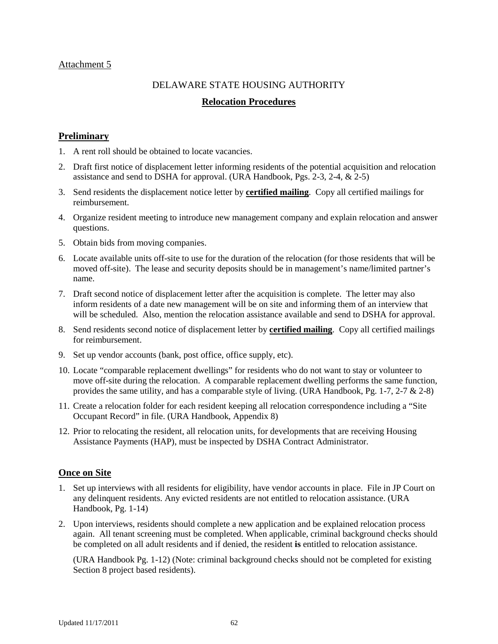# Attachment 5

# DELAWARE STATE HOUSING AUTHORITY

# **Relocation Procedures**

# <span id="page-61-0"></span>**Preliminary**

- 1. A rent roll should be obtained to locate vacancies.
- 2. Draft first notice of displacement letter informing residents of the potential acquisition and relocation assistance and send to DSHA for approval. (URA Handbook, Pgs. 2-3, 2-4, & 2-5)
- 3. Send residents the displacement notice letter by **certified mailing**. Copy all certified mailings for reimbursement.
- 4. Organize resident meeting to introduce new management company and explain relocation and answer questions.
- 5. Obtain bids from moving companies.
- 6. Locate available units off-site to use for the duration of the relocation (for those residents that will be moved off-site). The lease and security deposits should be in management's name/limited partner's name.
- 7. Draft second notice of displacement letter after the acquisition is complete. The letter may also inform residents of a date new management will be on site and informing them of an interview that will be scheduled. Also, mention the relocation assistance available and send to DSHA for approval.
- 8. Send residents second notice of displacement letter by **certified mailing**. Copy all certified mailings for reimbursement.
- 9. Set up vendor accounts (bank, post office, office supply, etc).
- 10. Locate "comparable replacement dwellings" for residents who do not want to stay or volunteer to move off-site during the relocation. A comparable replacement dwelling performs the same function, provides the same utility, and has a comparable style of living. (URA Handbook, Pg. 1-7, 2-7  $\&$  2-8)
- 11. Create a relocation folder for each resident keeping all relocation correspondence including a "Site Occupant Record" in file. (URA Handbook, Appendix 8)
- 12. Prior to relocating the resident, all relocation units, for developments that are receiving Housing Assistance Payments (HAP), must be inspected by DSHA Contract Administrator.

# **Once on Site**

- 1. Set up interviews with all residents for eligibility, have vendor accounts in place. File in JP Court on any delinquent residents. Any evicted residents are not entitled to relocation assistance. (URA Handbook, Pg. 1-14)
- 2. Upon interviews, residents should complete a new application and be explained relocation process again. All tenant screening must be completed. When applicable, criminal background checks should be completed on all adult residents and if denied, the resident **is** entitled to relocation assistance.

(URA Handbook Pg. 1-12) (Note: criminal background checks should not be completed for existing Section 8 project based residents).